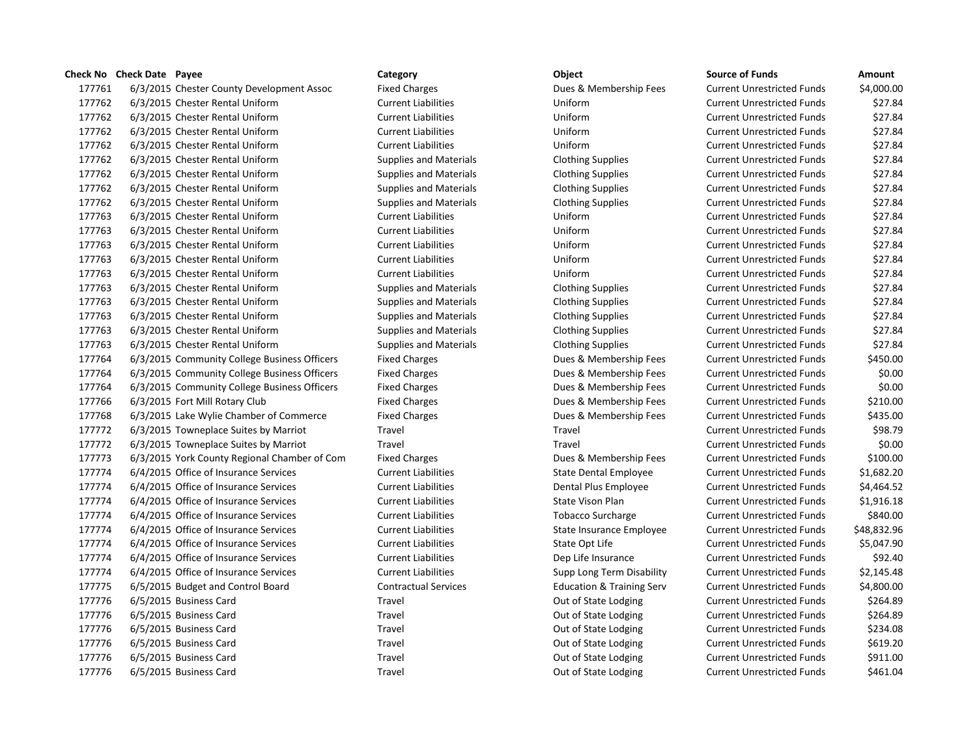## **Check No Check Date Payee Category Category Category Category Category Category Category Check No Check Date Check No Check Date Amount**

| 177761 | 6/3/2015 Chester County Development Assoc    | <b>Fixed Charges</b>          | Dues & Membership Fees               | <b>Current Unrestricted Funds</b> | \$4,000.00  |
|--------|----------------------------------------------|-------------------------------|--------------------------------------|-----------------------------------|-------------|
| 177762 | 6/3/2015 Chester Rental Uniform              | <b>Current Liabilities</b>    | Uniform                              | <b>Current Unrestricted Funds</b> | \$27.84     |
| 177762 | 6/3/2015 Chester Rental Uniform              | <b>Current Liabilities</b>    | Uniform                              | <b>Current Unrestricted Funds</b> | \$27.84     |
| 177762 | 6/3/2015 Chester Rental Uniform              | <b>Current Liabilities</b>    | Uniform                              | <b>Current Unrestricted Funds</b> | \$27.84     |
| 177762 | 6/3/2015 Chester Rental Uniform              | <b>Current Liabilities</b>    | Uniform                              | <b>Current Unrestricted Funds</b> | \$27.84     |
| 177762 | 6/3/2015 Chester Rental Uniform              | <b>Supplies and Materials</b> | <b>Clothing Supplies</b>             | <b>Current Unrestricted Funds</b> | \$27.84     |
| 177762 | 6/3/2015 Chester Rental Uniform              | <b>Supplies and Materials</b> | <b>Clothing Supplies</b>             | <b>Current Unrestricted Funds</b> | \$27.84     |
| 177762 | 6/3/2015 Chester Rental Uniform              | Supplies and Materials        | <b>Clothing Supplies</b>             | <b>Current Unrestricted Funds</b> | \$27.84     |
| 177762 | 6/3/2015 Chester Rental Uniform              | Supplies and Materials        | <b>Clothing Supplies</b>             | <b>Current Unrestricted Funds</b> | \$27.84     |
| 177763 | 6/3/2015 Chester Rental Uniform              | <b>Current Liabilities</b>    | Uniform                              | <b>Current Unrestricted Funds</b> | \$27.84     |
| 177763 | 6/3/2015 Chester Rental Uniform              | <b>Current Liabilities</b>    | Uniform                              | <b>Current Unrestricted Funds</b> | \$27.84     |
| 177763 | 6/3/2015 Chester Rental Uniform              | <b>Current Liabilities</b>    | Uniform                              | <b>Current Unrestricted Funds</b> | \$27.84     |
| 177763 | 6/3/2015 Chester Rental Uniform              | <b>Current Liabilities</b>    | Uniform                              | <b>Current Unrestricted Funds</b> | \$27.84     |
| 177763 | 6/3/2015 Chester Rental Uniform              | <b>Current Liabilities</b>    | Uniform                              | <b>Current Unrestricted Funds</b> | \$27.84     |
| 177763 | 6/3/2015 Chester Rental Uniform              | <b>Supplies and Materials</b> | <b>Clothing Supplies</b>             | <b>Current Unrestricted Funds</b> | \$27.84     |
| 177763 | 6/3/2015 Chester Rental Uniform              | <b>Supplies and Materials</b> | <b>Clothing Supplies</b>             | <b>Current Unrestricted Funds</b> | \$27.84     |
| 177763 | 6/3/2015 Chester Rental Uniform              | Supplies and Materials        | <b>Clothing Supplies</b>             | <b>Current Unrestricted Funds</b> | \$27.84     |
| 177763 | 6/3/2015 Chester Rental Uniform              | <b>Supplies and Materials</b> | <b>Clothing Supplies</b>             | <b>Current Unrestricted Funds</b> | \$27.84     |
| 177763 | 6/3/2015 Chester Rental Uniform              | <b>Supplies and Materials</b> | <b>Clothing Supplies</b>             | <b>Current Unrestricted Funds</b> | \$27.84     |
| 177764 | 6/3/2015 Community College Business Officers | <b>Fixed Charges</b>          | Dues & Membership Fees               | <b>Current Unrestricted Funds</b> | \$450.00    |
| 177764 | 6/3/2015 Community College Business Officers | <b>Fixed Charges</b>          | Dues & Membership Fees               | <b>Current Unrestricted Funds</b> | \$0.00      |
| 177764 | 6/3/2015 Community College Business Officers | <b>Fixed Charges</b>          | Dues & Membership Fees               | <b>Current Unrestricted Funds</b> | \$0.00      |
| 177766 | 6/3/2015 Fort Mill Rotary Club               | <b>Fixed Charges</b>          | Dues & Membership Fees               | <b>Current Unrestricted Funds</b> | \$210.00    |
| 177768 | 6/3/2015 Lake Wylie Chamber of Commerce      | <b>Fixed Charges</b>          | Dues & Membership Fees               | <b>Current Unrestricted Funds</b> | \$435.00    |
| 177772 | 6/3/2015 Towneplace Suites by Marriot        | Travel                        | Travel                               | <b>Current Unrestricted Funds</b> | \$98.79     |
| 177772 | 6/3/2015 Towneplace Suites by Marriot        | Travel                        | Travel                               | <b>Current Unrestricted Funds</b> | \$0.00      |
| 177773 | 6/3/2015 York County Regional Chamber of Com | <b>Fixed Charges</b>          | Dues & Membership Fees               | <b>Current Unrestricted Funds</b> | \$100.00    |
| 177774 | 6/4/2015 Office of Insurance Services        | <b>Current Liabilities</b>    | <b>State Dental Employee</b>         | <b>Current Unrestricted Funds</b> | \$1,682.20  |
| 177774 | 6/4/2015 Office of Insurance Services        | <b>Current Liabilities</b>    | Dental Plus Employee                 | <b>Current Unrestricted Funds</b> | \$4,464.52  |
| 177774 | 6/4/2015 Office of Insurance Services        | <b>Current Liabilities</b>    | State Vison Plan                     | <b>Current Unrestricted Funds</b> | \$1,916.18  |
| 177774 | 6/4/2015 Office of Insurance Services        | <b>Current Liabilities</b>    | <b>Tobacco Surcharge</b>             | <b>Current Unrestricted Funds</b> | \$840.00    |
| 177774 | 6/4/2015 Office of Insurance Services        | <b>Current Liabilities</b>    | State Insurance Employee             | <b>Current Unrestricted Funds</b> | \$48,832.96 |
| 177774 | 6/4/2015 Office of Insurance Services        | <b>Current Liabilities</b>    | State Opt Life                       | <b>Current Unrestricted Funds</b> | \$5,047.90  |
| 177774 | 6/4/2015 Office of Insurance Services        | <b>Current Liabilities</b>    | Dep Life Insurance                   | <b>Current Unrestricted Funds</b> | \$92.40     |
| 177774 | 6/4/2015 Office of Insurance Services        | <b>Current Liabilities</b>    | Supp Long Term Disability            | <b>Current Unrestricted Funds</b> | \$2,145.48  |
| 177775 | 6/5/2015 Budget and Control Board            | <b>Contractual Services</b>   | <b>Education &amp; Training Serv</b> | <b>Current Unrestricted Funds</b> | \$4,800.00  |
| 177776 | 6/5/2015 Business Card                       | Travel                        | Out of State Lodging                 | <b>Current Unrestricted Funds</b> | \$264.89    |
| 177776 | 6/5/2015 Business Card                       | Travel                        | Out of State Lodging                 | <b>Current Unrestricted Funds</b> | \$264.89    |
| 177776 | 6/5/2015 Business Card                       | Travel                        | Out of State Lodging                 | <b>Current Unrestricted Funds</b> | \$234.08    |
| 177776 | 6/5/2015 Business Card                       | Travel                        | Out of State Lodging                 | <b>Current Unrestricted Funds</b> | \$619.20    |
| 177776 | 6/5/2015 Business Card                       | Travel                        | Out of State Lodging                 | <b>Current Unrestricted Funds</b> | \$911.00    |
| 177776 | 6/5/2015 Business Card                       | Travel                        | Out of State Lodging                 | <b>Current Unrestricted Funds</b> | \$461.04    |

# Fixed Charges **17776** Exercise Current Unrestricted Funds 54,000.00 177762 6/3/2015 Chester Rental Uniform Current Liabilities Uniform Current Unrestricted Funds \$27.84 177762 6/3/2015 Chester Rental Uniform Current Liabilities Uniform Current Unrestricted Funds \$27.84 177762 6/3/2015 Chester Rental Uniform Current Liabilities Uniform Current Unrestricted Funds \$27.84 177762 6/3/2015 Chester Rental Uniform Current Liabilities Uniform Current Unrestricted Funds \$27.84 177762 6/3/2015 Chester Rental Uniform Supplies and Materials Clothing Supplies Current Unrestricted Funds \$27.84 177762 6/3/2015 Chester Rental Uniform Supplies and Materials Clothing Supplies Current Unrestricted Funds \$27.84 177762 6/3/2015 Chester Rental Uniform Supplies and Materials Clothing Supplies Current Unrestricted Funds \$27.84 177762 6/3/2015 Chester Rental Uniform Supplies and Materials Clothing Supplies Current Unrestricted Funds \$27.84 177763 6/3/2015 Chester Rental Uniform Current Liabilities Uniform Current Unrestricted Funds \$27.84 177763 6/3/2015 Chester Rental Uniform Current Liabilities Uniform Current Unrestricted Funds \$27.84 177763 6/3/2015 Chester Rental Uniform Current Liabilities Uniform Current Unrestricted Funds \$27.84 177763 6/3/2015 Chester Rental Uniform Current Liabilities Uniform Current Unrestricted Funds \$27.84 177763 6/3/2015 Chester Rental Uniform Supplies and Materials Clothing Supplies Current Unrestricted Funds \$27.84 177763 6/3/2015 Chester Rental Uniform Supplies and Materials Clothing Supplies Current Unrestricted Funds \$27.84 177763 Supplies and Materials Clothing Supplies Current Unrestricted Funds \$27.84 177763 6/3/2015 Chester Rental Uniform Supplies and Materials Clothing Supplies Current Unrestricted Funds \$27.84 177763 6/3/2015 Chester Rental Uniform Supplies and Materials Clothing Supplies Current Unrestricted Funds \$27.84 Fixed Charges **Fixed Charges Examples Business Current Unrestricted Funds** \$450.00 Fixed Charges The Superson Community Community Community Community Contract Current Unrestricted Funds \$0.000 Fixed Charges The South Community Community Community Community Contract Current Unrestricted Funds \$0.000 Funds Fixed Charges **17776 Fort Mill Rotary Fixed Charges** Current Unrestricted Funds \$210.00 Fixed Charges **17776 Example 2017 Commerce Fixed Current Unrestricted Funds** 5435.00 177772 6/3/2015 Towneplace Suites by Marriot Travel Travel Current Unrestricted Funds \$98.79 177772 6/3/2015 Towneplace Suites by Marriot Travel Travel Current Unrestricted Funds \$0.00 1777 Fixed Charges The Sound Chamber of Current Unrestricted Funds Annual Current Unrestricted Funds to the S 177774 6/4/2015 Office of Insurance Services Current Liabilities State Dental Employee Current Unrestricted Funds \$1,682.20 17777 Current Liabilities Current Liabilities Current Liabilities Current Unrestricted Funds 54,464.52 177774 6/4/2015 Office of Insurance Services Current Liabilities State Vison Plan Current Unrestricted Funds \$1,916.18 177774 6/4/2015 Office of Insurance Services Current Liabilities Tobacco Surcharge Current Unrestricted Funds \$840.00 177774 6/4/2015 Office of Insurance Services Current Liabilities State Insurance Employee Current Unrestricted Funds \$48,832.96 17774 Current Liabilities Current Liabilities Current Liabilities State Opt Life Current Unrestricted Funds \$5,047.90 177774 6/4/2015 Office of Insurance Services Current Liabilities Dep Life Insurance Current Unrestricted Funds \$92.40 Current Liabilities **Supp Long Term Disability** Current Unrestricted Funds \$2,145.48 177775 6/5/2015 Budget and Control Board Contractual Services Education & Training Serv Current Unrestricted Funds \$4,800.00 1777 Travel **177716 Example 2015** Current Unrestricted Funds 5264.89 1777 Travel **17776 Example 2015 Business Current Unrestricted Funds** 5264.89 1777 Travel 1888 Examples Current Unrestricted Funds to the S234.08 17776 Travel 1880 Europe Current Unrestricted Funds 5619.20 1777 Travel **17776 Example 2015** 6 Current Unrestricted Funds 5911.00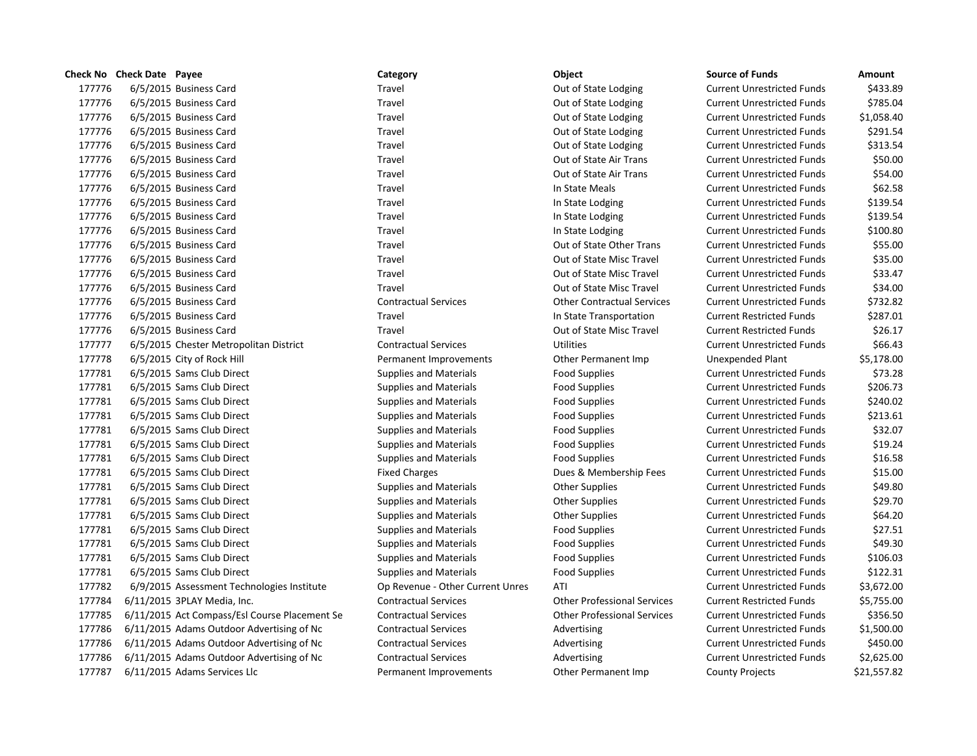|        | Check No Check Date Payee                     | Category                         | Object                             | <b>Source of Funds</b>            | Amount      |
|--------|-----------------------------------------------|----------------------------------|------------------------------------|-----------------------------------|-------------|
| 177776 | 6/5/2015 Business Card                        | Travel                           | Out of State Lodging               | <b>Current Unrestricted Funds</b> | \$433.89    |
| 177776 | 6/5/2015 Business Card                        | Travel                           | Out of State Lodging               | <b>Current Unrestricted Funds</b> | \$785.04    |
| 177776 | 6/5/2015 Business Card                        | Travel                           | Out of State Lodging               | <b>Current Unrestricted Funds</b> | \$1,058.40  |
| 177776 | 6/5/2015 Business Card                        | Travel                           | Out of State Lodging               | <b>Current Unrestricted Funds</b> | \$291.54    |
| 177776 | 6/5/2015 Business Card                        | Travel                           | Out of State Lodging               | <b>Current Unrestricted Funds</b> | \$313.54    |
| 177776 | 6/5/2015 Business Card                        | Travel                           | Out of State Air Trans             | <b>Current Unrestricted Funds</b> | \$50.00     |
| 177776 | 6/5/2015 Business Card                        | Travel                           | Out of State Air Trans             | <b>Current Unrestricted Funds</b> | \$54.00     |
| 177776 | 6/5/2015 Business Card                        | Travel                           | In State Meals                     | <b>Current Unrestricted Funds</b> | \$62.58     |
| 177776 | 6/5/2015 Business Card                        | Travel                           | In State Lodging                   | <b>Current Unrestricted Funds</b> | \$139.54    |
| 177776 | 6/5/2015 Business Card                        | Travel                           | In State Lodging                   | <b>Current Unrestricted Funds</b> | \$139.54    |
| 177776 | 6/5/2015 Business Card                        | Travel                           | In State Lodging                   | <b>Current Unrestricted Funds</b> | \$100.80    |
| 177776 | 6/5/2015 Business Card                        | Travel                           | Out of State Other Trans           | <b>Current Unrestricted Funds</b> | \$55.00     |
| 177776 | 6/5/2015 Business Card                        | Travel                           | Out of State Misc Travel           | <b>Current Unrestricted Funds</b> | \$35.00     |
| 177776 | 6/5/2015 Business Card                        | Travel                           | Out of State Misc Travel           | <b>Current Unrestricted Funds</b> | \$33.47     |
| 177776 | 6/5/2015 Business Card                        | Travel                           | Out of State Misc Travel           | <b>Current Unrestricted Funds</b> | \$34.00     |
| 177776 | 6/5/2015 Business Card                        | <b>Contractual Services</b>      | <b>Other Contractual Services</b>  | <b>Current Unrestricted Funds</b> | \$732.82    |
| 177776 | 6/5/2015 Business Card                        | Travel                           | In State Transportation            | <b>Current Restricted Funds</b>   | \$287.01    |
| 177776 | 6/5/2015 Business Card                        | Travel                           | Out of State Misc Travel           | <b>Current Restricted Funds</b>   | \$26.17     |
| 177777 | 6/5/2015 Chester Metropolitan District        | <b>Contractual Services</b>      | <b>Utilities</b>                   | <b>Current Unrestricted Funds</b> | \$66.43     |
| 177778 | 6/5/2015 City of Rock Hill                    | Permanent Improvements           | Other Permanent Imp                | Unexpended Plant                  | \$5,178.00  |
| 177781 | 6/5/2015 Sams Club Direct                     | <b>Supplies and Materials</b>    | <b>Food Supplies</b>               | <b>Current Unrestricted Funds</b> | \$73.28     |
| 177781 | 6/5/2015 Sams Club Direct                     | <b>Supplies and Materials</b>    | <b>Food Supplies</b>               | <b>Current Unrestricted Funds</b> | \$206.73    |
| 177781 | 6/5/2015 Sams Club Direct                     | <b>Supplies and Materials</b>    | <b>Food Supplies</b>               | <b>Current Unrestricted Funds</b> | \$240.02    |
| 177781 | 6/5/2015 Sams Club Direct                     | <b>Supplies and Materials</b>    | <b>Food Supplies</b>               | <b>Current Unrestricted Funds</b> | \$213.61    |
| 177781 | 6/5/2015 Sams Club Direct                     | <b>Supplies and Materials</b>    | <b>Food Supplies</b>               | <b>Current Unrestricted Funds</b> | \$32.07     |
| 177781 | 6/5/2015 Sams Club Direct                     | <b>Supplies and Materials</b>    | <b>Food Supplies</b>               | <b>Current Unrestricted Funds</b> | \$19.24     |
| 177781 | 6/5/2015 Sams Club Direct                     | <b>Supplies and Materials</b>    | <b>Food Supplies</b>               | <b>Current Unrestricted Funds</b> | \$16.58     |
| 177781 | 6/5/2015 Sams Club Direct                     | <b>Fixed Charges</b>             | Dues & Membership Fees             | <b>Current Unrestricted Funds</b> | \$15.00     |
| 177781 | 6/5/2015 Sams Club Direct                     | <b>Supplies and Materials</b>    | <b>Other Supplies</b>              | <b>Current Unrestricted Funds</b> | \$49.80     |
| 177781 | 6/5/2015 Sams Club Direct                     | <b>Supplies and Materials</b>    | <b>Other Supplies</b>              | <b>Current Unrestricted Funds</b> | \$29.70     |
| 177781 | 6/5/2015 Sams Club Direct                     | <b>Supplies and Materials</b>    | <b>Other Supplies</b>              | <b>Current Unrestricted Funds</b> | \$64.20     |
| 177781 | 6/5/2015 Sams Club Direct                     | <b>Supplies and Materials</b>    | <b>Food Supplies</b>               | <b>Current Unrestricted Funds</b> | \$27.51     |
| 177781 | 6/5/2015 Sams Club Direct                     | <b>Supplies and Materials</b>    | <b>Food Supplies</b>               | <b>Current Unrestricted Funds</b> | \$49.30     |
| 177781 | 6/5/2015 Sams Club Direct                     | <b>Supplies and Materials</b>    | <b>Food Supplies</b>               | <b>Current Unrestricted Funds</b> | \$106.03    |
| 177781 | 6/5/2015 Sams Club Direct                     | <b>Supplies and Materials</b>    | <b>Food Supplies</b>               | <b>Current Unrestricted Funds</b> | \$122.31    |
| 177782 | 6/9/2015 Assessment Technologies Institute    | Op Revenue - Other Current Unres | ATI                                | <b>Current Unrestricted Funds</b> | \$3,672.00  |
| 177784 | 6/11/2015 3PLAY Media, Inc.                   | <b>Contractual Services</b>      | <b>Other Professional Services</b> | <b>Current Restricted Funds</b>   | \$5,755.00  |
| 177785 | 6/11/2015 Act Compass/Esl Course Placement Se | <b>Contractual Services</b>      | <b>Other Professional Services</b> | <b>Current Unrestricted Funds</b> | \$356.50    |
| 177786 | 6/11/2015 Adams Outdoor Advertising of Nc     | <b>Contractual Services</b>      | Advertising                        | <b>Current Unrestricted Funds</b> | \$1,500.00  |
| 177786 | 6/11/2015 Adams Outdoor Advertising of Nc     | <b>Contractual Services</b>      | Advertising                        | <b>Current Unrestricted Funds</b> | \$450.00    |
| 177786 | 6/11/2015 Adams Outdoor Advertising of Nc     | <b>Contractual Services</b>      | Advertising                        | <b>Current Unrestricted Funds</b> | \$2,625.00  |
| 177787 | 6/11/2015 Adams Services Llc                  | Permanent Improvements           | Other Permanent Imp                | <b>County Projects</b>            | \$21,557.82 |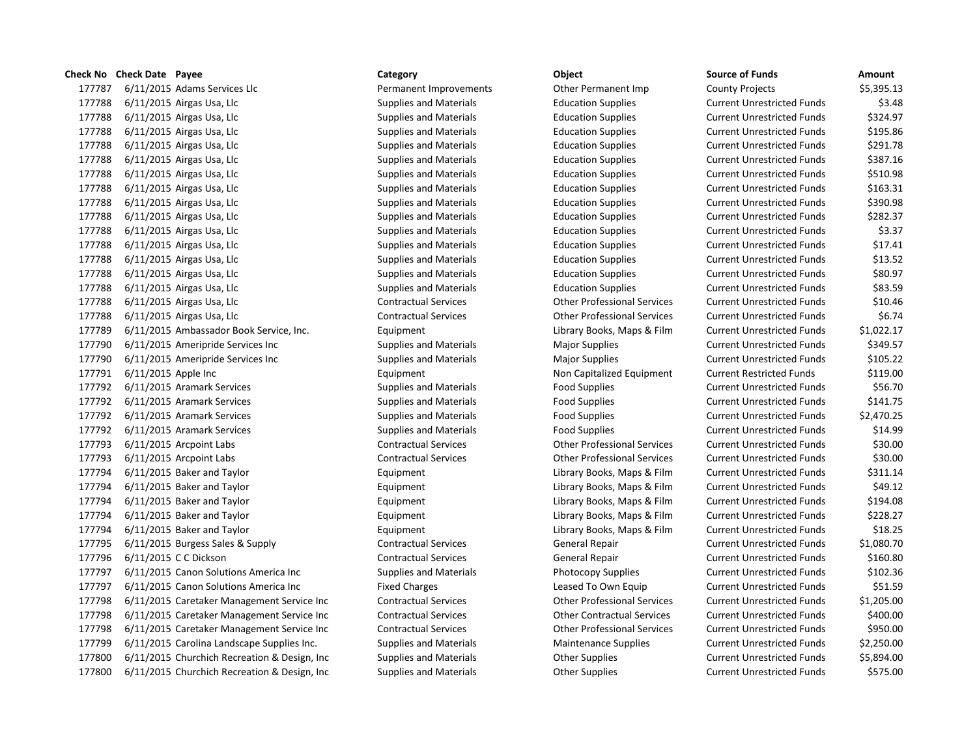# **Check No Check Date Payee Category Category Category Category Category Category Category Category Category C** 177787 6/11/2015 Adams Services Llc **Definition Commandial Permanent Improvements** Other Permanent Imp Co 177788 6/11/2015 Airgas Usa, Llc Supplies and Materials Education Supplies **600 Funds Education Supplies** Cu 177788 6/11/2015 Airgas Usa, Llc Supplies and Materials Education Supplies **600 Funds Education Supplies** Cu 177788 6/11/2015 Airgas Usa, Llc Supplies and Materials Education Supplies **Current Current Current Current Current** Cu 177788 6/11/2015 Airgas Usa, Llc Supplies and Materials Education Supplies **Current Current Current Current Current** Cu 177788 6/11/2015 Airgas Usa, Llc Supplies and Materials Education Supplies **600 Funds Education Supplies** Cu 177788 6/11/2015 Airgas Usa, Llc Supplies and Materials Education Supplies **60.088** Cu 177788 6/11/2015 Airgas Usa, Llc Supplies and Materials Education Supplies **600 Funds Education Supplies** Cu 177788 6/11/2015 Airgas Usa, Llc Supplies and Materials Education Supplies **60.980.089.0880.0880.0880.0880.0880.0** 177788 6/11/2015 Airgas Usa, Llc Supplies and Materials Education Supplies **Current Current Current Current Current** Cu 177788 6/11/2015 Airgas Usa, Llc Supplies and Materials Education Supplies **60.37788** 6.37788 Cu 177788 6/11/2015 Airgas Usa, Llc Supplies and Materials Education Supplies **600 Funds Education Supplies** Cu 177788 6/11/2015 Airgas Usa, Llc Supplies and Materials Education Supplies **600 Funds Education Supplies** Cu 177788 6/11/2015 Airgas Usa, Llc Supplies and Materials Education Supplies **Education Supplies** Cu 177788 6/11/2015 Airgas Usa, Llc Supplies and Materials Education Supplies **60.599.59 Current University** Current Cu 177788 6/11/2015 Airgas Usa, Llc Contractual Services Current Units Contractual Services Current Units Services 177788 6/11/2015 Airgas Usa, Llc Contractual Services Current University of Current Current Current Current Cu 177789 6/11/2015 Ambassador Book Service, Inc. 
Library Books, Maps & Film Current Current Library Books, Maps & Film Cu 177790 6/11/2015 Ameripride Services Inc Supplies and Materials Major Supplies Magnet Unrestricted Funds & Gu 177790 6/11/2015 Ameripride Services Inc Supplies and Materials Major Supplies Magnet Unrestricted Funds & Cu 177791 6/11/2015 Apple Inc **No. 2018** Equipment Equipment Non Capitalized Equipment Cu 177792 6/11/2015 Aramark Services Supplies and Materials Food Supplies Food Supplies Food Supplies 177792 6/11/2015 Aramark Services Supplies and Materials Food Supplies Food Supplies Cu 177792 6/11/2015 Aramark Services Supplies and Materials Food Supplies Food Supplies Cu 177792 6/11/2015 Aramark Services Supplies and Materials Food Supplies Food Supplies Cu 177793 6/11/2015 Arcpoint Labs Contractual Services Current Contractual Services Current Professional Services Cu 177793 6/11/2015 Arcpoint Labs Contractual Services Current Contractual Services Current Professional Services Cu 177794 6/11/2015 Baker and Taylor **Library Books, Maps & Film** Current Library Books, Maps & Film Cu 177794 6/11/2015 Baker and Taylor **Library Books, Maps & Film** Current Library Books, Maps & Film Cu 177794 6/11/2015 Baker and Taylor **Library Books, Maps & Film** Current Library Books, Maps & Film Cu 177794 6/11/2015 Baker and Taylor **Library Books, Maps & Film** Current Library Books, Maps & Film Cu 177794 6/11/2015 Baker and Taylor **Library Books, Maps & Film** Current Library Books, Maps & Film Cu 177795 6/11/2015 Burgess Sales & Supply Contractual Services General Repair Current Current Current Current A 177796 6/11/2015 C C Dickson Contractual Services General Repair Current Current Current Current Current Current Cu 177797 6/11/2015 Canon Solutions America Inc Supplies and Materials Photocopy Supplies Cu 177797 6/11/2015 Canon Solutions America Inc Fixed Charges Leased To Own Equip Cu 177798 6/11/2015 Caretaker Management Service Inc Contractual Services Current Professional Services Cu 177798 6/11/2015 Caretaker Management Service Inc Contractual Services Current Contractual Services Cu 177798 6/11/2015 Caretaker Management Service Inc Contractual Services Current Professional Services Cu 177799 6/11/2015 Carolina Landscape Supplies Inc. Supplies and Materials Maintenance Supplies Current Current Cu 177800 6/11/2015 Churchich Recreation & Design, Inc Supplies and Materials **State Current Current Current Current** Cu 177800 6/11/2015 Churchich Recreation & Design, Inc Supplies and Materials Current Unrestricted Funds Current Unrestricted Funds

| urce of Funds                    | Amount     |
|----------------------------------|------------|
| unty Projects                    | \$5,395.13 |
| <b>Irrent Unrestricted Funds</b> | \$3.48     |
| <b>Irrent Unrestricted Funds</b> | \$324.97   |
| <b>Irrent Unrestricted Funds</b> | \$195.86   |
| <b>Irrent Unrestricted Funds</b> | \$291.78   |
| <b>Irrent Unrestricted Funds</b> | \$387.16   |
| <b>Irrent Unrestricted Funds</b> | \$510.98   |
| <b>Irrent Unrestricted Funds</b> | \$163.31   |
| <b>Irrent Unrestricted Funds</b> | \$390.98   |
| <b>Irrent Unrestricted Funds</b> | \$282.37   |
| <b>Irrent Unrestricted Funds</b> | \$3.37     |
| <b>Irrent Unrestricted Funds</b> | \$17.41    |
| <b>Irrent Unrestricted Funds</b> | \$13.52    |
| <b>Irrent Unrestricted Funds</b> | \$80.97    |
| <b>Irrent Unrestricted Funds</b> | \$83.59    |
| <b>Irrent Unrestricted Funds</b> | \$10.46    |
| <b>Irrent Unrestricted Funds</b> | \$6.74     |
| <b>Irrent Unrestricted Funds</b> | \$1,022.17 |
| <b>Irrent Unrestricted Funds</b> | \$349.57   |
| <b>Irrent Unrestricted Funds</b> | \$105.22   |
| <b>Irrent Restricted Funds</b>   | \$119.00   |
| <b>Irrent Unrestricted Funds</b> | \$56.70    |
| <b>Irrent Unrestricted Funds</b> | \$141.75   |
| <b>Irrent Unrestricted Funds</b> | \$2,470.25 |
| <b>Irrent Unrestricted Funds</b> | \$14.99    |
| <b>Irrent Unrestricted Funds</b> | \$30.00    |
| <b>Irrent Unrestricted Funds</b> | \$30.00    |
| <b>Irrent Unrestricted Funds</b> | \$311.14   |
| <b>Irrent Unrestricted Funds</b> | \$49.12    |
| <b>Irrent Unrestricted Funds</b> | \$194.08   |
| <b>Irrent Unrestricted Funds</b> | \$228.27   |
| <b>Irrent Unrestricted Funds</b> | \$18.25    |
| <b>Irrent Unrestricted Funds</b> | \$1,080.70 |
| <b>Irrent Unrestricted Funds</b> | \$160.80   |
| <b>Irrent Unrestricted Funds</b> | \$102.36   |
| <b>Irrent Unrestricted Funds</b> | \$51.59    |
| <b>Irrent Unrestricted Funds</b> | \$1,205.00 |
| <b>Irrent Unrestricted Funds</b> | \$400.00   |
| <b>Irrent Unrestricted Funds</b> | \$950.00   |
| <b>Irrent Unrestricted Funds</b> | \$2,250.00 |
| <b>Irrent Unrestricted Funds</b> | \$5,894.00 |
| irrent Unrestricted Funds        | \$575.00   |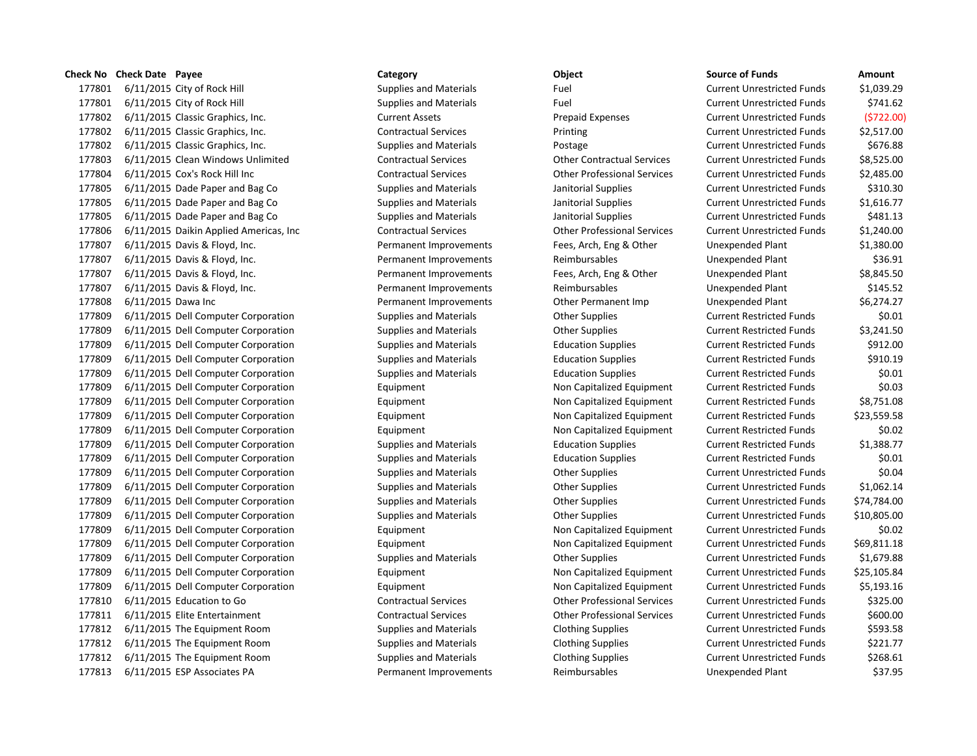177801 6/11/2015 City of Rock Hill Supplies and Materials Fuel Fuel Current Current Current Current Current Current Current Supplies and Materials Fuel Current Current Current Current Current Current Current Current Curren 177801 6/11/2015 City of Rock Hill Supplies and Materials Fuel Fuel Current Current Current Current Current Current Current Current Current Current Current Current Current Current Current Current Current Current Current Cu 177802 6/11/2015 Classic Graphics, Inc. Current Assets Prepaid Expenses Current Assets 177802 6/11/2015 Classic Graphics, Inc. Contractual Services Printing Printing Curre 177802 6/11/2015 Classic Graphics, Inc. Supplies and Materials Postage Postage Curre 177803 6/11/2015 Clean Windows Unlimited Contractual Services Current Contractual Services Curre 177804 6/11/2015 Cox's Rock Hill Inc Contractual Services Current Contractual Services Current Unrestricted Funds \$2,485.000 Current Units \$2,485.000 Current Units \$2,485.000 Current Units \$2,485.000 Current Units \$2,485.0 177805 6/11/2015 Dade Paper and Bag Co Supplies and Materials Janitorial Supplies Current Current Current Curre 177805 6/11/2015 Dade Paper and Bag Co Supplies and Materials Janitorial Supplies Current Current Current Curre 177805 6/11/2015 Dade Paper and Bag Co Supplies and Materials Janitorial Supplies Current Current Current Curre 177806 6/11/2015 Daikin Applied Americas, Inc Contractual Services Current Current Other Professional Services Curre 177807 6/11/2015 Davis & Floyd, Inc. The Permanent Improvements Fees, Arch, Eng & Other Unex 177807 6/11/2015 Davis & Floyd. Inc. The Secret American Permanent Improvements Reimbursables Unexpendient Plant 177807 6/11/2015 Davis & Floyd, Inc. The Permanent Improvements Fees, Arch, Eng & Other Unex 177807 6/11/2015 Davis & Floyd, Inc. The Permanent Improvements Reimbursables Unex 177808 6/11/2015 Dawa Inc **Permanent Improvements** Other Permanent Imp Unex 177809 6/11/2015 Dell Computer Corporation Supplies and Materials Current Restricted Funds & Current Restricted Funds & Current Restricted Funds & Current Restricted Funds \$1.000 Current Restricted Funds \$1.000 Current Res 177809 6/11/2015 Dell Computer Corporation Supplies and Materials Current Restricted Funds & Current Restricted Funds & Current Restricted Funds & Current Restricted Funds \$3,241.500 Current Restricted Funds \$3,241.500 Cur 177809 6/11/2015 Dell Computer Corporation Supplies and Materials Education Supplies Current Restricted Funds 177809 6/11/2015 Dell Computer Corporation Supplies and Materials Education Supplies Current Restricted Funds 177809 6/11/2015 Dell Computer Corporation Supplies and Materials Education Supplies Current Restricted Funds 177809 6/11/2015 Dell Computer Corporation **Equipment** Equipment Non Capitalized Equipment Curre 177809 6/11/2015 Dell Computer Corporation **Equipment** Equipment Non Capitalized Equipment Curre 177809 6/11/2015 Dell Computer Corporation **Equipment** Equipment Non Capitalized Equipment Curre 177809 6/11/2015 Dell Computer Corporation **Equipment** Equipment Non Capitalized Equipment Curre 177809 6/11/2015 Dell Computer Corporation Supplies and Materials Education Supplies Current Restricted Funds 177809 6/11/2015 Dell Computer Corporation Supplies and Materials Education Supplies Current Restricted Funds 177809 6/11/2015 Dell Computer Corporation Supplies and Materials Current Other Supplies Current Current Curre 177809 6/11/2015 Dell Computer Corporation Supplies and Materials Current Other Supplies Current Current Curre 177809 6/11/2015 Dell Computer Corporation Supplies and Materials Current Current Current Current Current Curre 177809 6/11/2015 Dell Computer Corporation Supplies and Materials Current Other Supplies Current Current Curre 177809 6/11/2015 Dell Computer Corporation **Equipment** Equipment Non Capitalized Equipment Curre 177809 6/11/2015 Dell Computer Corporation **Equipment** Equipment Non Capitalized Equipment Curre 177809 6/11/2015 Dell Computer Corporation Supplies and Materials Current Other Supplies Current Current Curre 177809 6/11/2015 Dell Computer Corporation **Equipment** Equipment Non Capitalized Equipment Curre 177809 6/11/2015 Dell Computer Corporation **Equipment** Equipment Non Capitalized Equipment Curre 177810 6/11/2015 Education to Go Contractual Services Other Professional Services Curre 177811 6/11/2015 Elite Entertainment Contractual Services Current Contractual Services Current Unrestricted Funds & Current Current Current Units & Current Current Current Current Current Current Current Current Current Cu 177812 6/11/2015 The Equipment Room Supplies and Materials Clothing Supplies Current Current Current Current Current Current Current Current Current Current Current Current Current Current Current Current Current Current C 177812 6/11/2015 The Equipment Room Supplies and Materials Clothing Supplies Current Current Current Current Current Current Current Current Units Annual Clothing Supplies Current Current Current Current Current Current Cu 177812 6/11/2015 The Equipment Room Supplies and Materials Clothing Supplies Current Current Current Current Current Current Current Current Current Current Current Current Current Current Current Current Current Current C 177813 6/11/2015 ESP Associates PA **Permanent Improvements** Reimbursables Unexpended Plant

**Check No Check Date Payee Category Category Category Category Category Category Category C** 

| ce of Funds <sup>.</sup> | Amount      |
|--------------------------|-------------|
| ent Unrestricted Funds   | \$1,039.29  |
| ent Unrestricted Funds   | \$741.62    |
| ent Unrestricted Funds   | \$722.00    |
| ent Unrestricted Funds   | \$2,517.00  |
| ent Unrestricted Funds   | \$676.88    |
| ent Unrestricted Funds   | \$8,525.00  |
| ent Unrestricted Funds   | \$2,485.00  |
| ent Unrestricted Funds   | \$310.30    |
| ent Unrestricted Funds   | \$1,616.77  |
| ent Unrestricted Funds   | \$481.13    |
| ent Unrestricted Funds   | \$1,240.00  |
| xpended Plant            | \$1,380.00  |
| xpended Plant            | \$36.91     |
| xpended Plant            | \$8,845.50  |
| xpended Plant            | \$145.52    |
| xpended Plant            | \$6,274.27  |
| ent Restricted Funds     | \$0.01      |
| ent Restricted Funds     | \$3,241.50  |
| ent Restricted Funds     | \$912.00    |
| ent Restricted Funds     | \$910.19    |
| ent Restricted Funds     | \$0.01      |
| ent Restricted Funds     | \$0.03      |
| ent Restricted Funds     | \$8,751.08  |
| ent Restricted Funds     | \$23,559.58 |
| ent Restricted Funds     | \$0.02      |
| ent Restricted Funds     | \$1,388.77  |
| ent Restricted Funds     | \$0.01      |
| ent Unrestricted Funds   | \$0.04      |
| ent Unrestricted Funds   | \$1,062.14  |
| ent Unrestricted Funds   | \$74,784.00 |
| ent Unrestricted Funds   | \$10,805.00 |
| ent Unrestricted Funds   | \$0.02      |
| ent Unrestricted Funds   | \$69,811.18 |
| ent Unrestricted Funds   | \$1,679.88  |
| ent Unrestricted Funds   | \$25,105.84 |
| ent Unrestricted Funds   | \$5,193.16  |
| ent Unrestricted Funds   | \$325.00    |
| ent Unrestricted Funds   | \$600.00    |
| ent Unrestricted Funds   | \$593.58    |
| ent Unrestricted Funds   | \$221.77    |
| ent Unrestricted Funds   | \$268.61    |
| tnel9 hehnenv            | \$37.95     |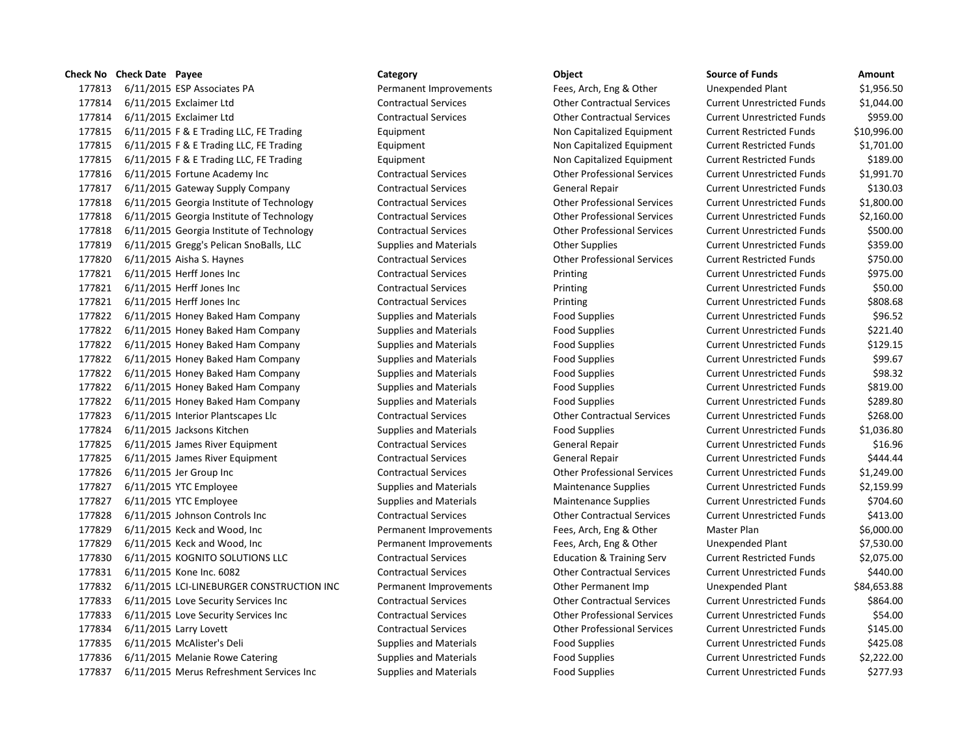6/11/2015 ESP Associates PA Permanent Improvements Fees, Arch, Eng & Other Unexpended Plant \$1,956.50 6/11/2015 Exclaimer Ltd Contractual Services Other Contractual Services Current Unrestricted Funds \$1,044.00 6/11/2015 Exclaimer Ltd Contractual Services Other Contractual Services Current Unrestricted Funds \$959.00 6/11/2015 F & E Trading LLC, FE Trading Equipment Non Capitalized Equipment Current Restricted Funds \$10,996.00 6/11/2015 F & E Trading LLC, FE Trading Equipment Non Capitalized Equipment Current Restricted Funds \$1,701.00 177815 6/11/2015 F & E Trading LLC, FE Trading Equipment Equipment Non Capitalized Equipment Current Restricted Funds \$189.00 6/11/2015 Fortune Academy Inc Contractual Services Other Professional Services Current Unrestricted Funds \$1,991.70 6/11/2015 Gateway Supply Company Contractual Services General Repair Current Unrestricted Funds \$130.03 6/11/2015 Georgia Institute of Technology Contractual Services Other Professional Services Current Unrestricted Funds \$1,800.00 6/11/2015 Georgia Institute of Technology Contractual Services Other Professional Services Current Unrestricted Funds \$2,160.00 6/11/2015 Georgia Institute of Technology Contractual Services Other Professional Services Current Unrestricted Funds \$500.00 6/11/2015 Gregg's Pelican SnoBalls, LLC Supplies and Materials Other Supplies Current Unrestricted Funds \$359.00 6/11/2015 Aisha S. Haynes Contractual Services Other Professional Services Current Restricted Funds \$750.00 6/11/2015 Herff Jones Inc Contractual Services Printing Current Unrestricted Funds \$975.00 6/11/2015 Herff Jones Inc Contractual Services Printing Current Unrestricted Funds \$50.00 6/11/2015 Herff Jones Inc Contractual Services Printing Current Unrestricted Funds \$808.68 6/11/2015 Honey Baked Ham Company Supplies and Materials Food Supplies Current Unrestricted Funds \$96.52 177822 6/11/2015 Honey Baked Ham Company Supplies and Materials Food Supplies Current Unrestricted Funds \$221.40 6/11/2015 Honey Baked Ham Company Supplies and Materials Food Supplies Current Unrestricted Funds \$129.15 6/11/2015 Honey Baked Ham Company Supplies and Materials Food Supplies Current Unrestricted Funds \$99.67 6/11/2015 Honey Baked Ham Company Supplies and Materials Food Supplies Current Unrestricted Funds \$98.32 6/11/2015 Honey Baked Ham Company Supplies and Materials Food Supplies Current Unrestricted Funds \$819.00 177822 6/11/2015 Honey Baked Ham Company Supplies and Materials Food Supplies Current Unrestricted Funds \$289.80 6/11/2015 Interior Plantscapes Llc Contractual Services Other Contractual Services Current Unrestricted Funds \$268.00 6/11/2015 Jacksons Kitchen Supplies and Materials Food Supplies Current Unrestricted Funds \$1,036.80 177825 6/11/2015 James River Equipment Contractual Services General Repair Current Unrestricted Funds \$16.96 177825 6/11/2015 James River Equipment Contractual Services General Repair Current Unrestricted Funds \$444.44 6/11/2015 Jer Group Inc Contractual Services Other Professional Services Current Unrestricted Funds \$1,249.00 6/11/2015 YTC Employee Supplies and Materials Maintenance Supplies Current Unrestricted Funds \$2,159.99 177827 6/11/2015 YTC Employee Supplies and Materials Maintenance Supplies Current Unrestricted Funds \$704.60 6/11/2015 Johnson Controls Inc Contractual Services Other Contractual Services Current Unrestricted Funds \$413.00 6/11/2015 Keck and Wood, Inc Permanent Improvements Fees, Arch, Eng & Other Master Plan \$6,000.00 6/11/2015 Keck and Wood, Inc Permanent Improvements Fees, Arch, Eng & Other Unexpended Plant \$7,530.00 6/11/2015 KOGNITO SOLUTIONS LLC Contractual Services Education & Training Serv Current Restricted Funds \$2,075.00 6/11/2015 Kone Inc. 6082 Contractual Services Other Contractual Services Current Unrestricted Funds \$440.00 6/11/2015 LCI-LINEBURGER CONSTRUCTION INC Permanent Improvements Other Permanent Imp Unexpended Plant \$84,653.88 6/11/2015 Love Security Services Inc Contractual Services Other Contractual Services Current Unrestricted Funds \$864.00 6/11/2015 Love Security Services Inc Contractual Services Other Professional Services Current Unrestricted Funds \$54.00 6/11/2015 Larry Lovett Contractual Services Other Professional Services Current Unrestricted Funds \$145.00 177835 6/11/2015 McAlister's Deli Supplies and Materials Food Supplies Food Supplies Current Unrestricted Funds \$425.08 177836 6/11/2015 Melanie Rowe Catering Supplies and Materials Food Supplies Current Unrestricted Funds \$2,222.00 6/11/2015 Merus Refreshment Services Inc Supplies and Materials Food Supplies Current Unrestricted Funds \$277.93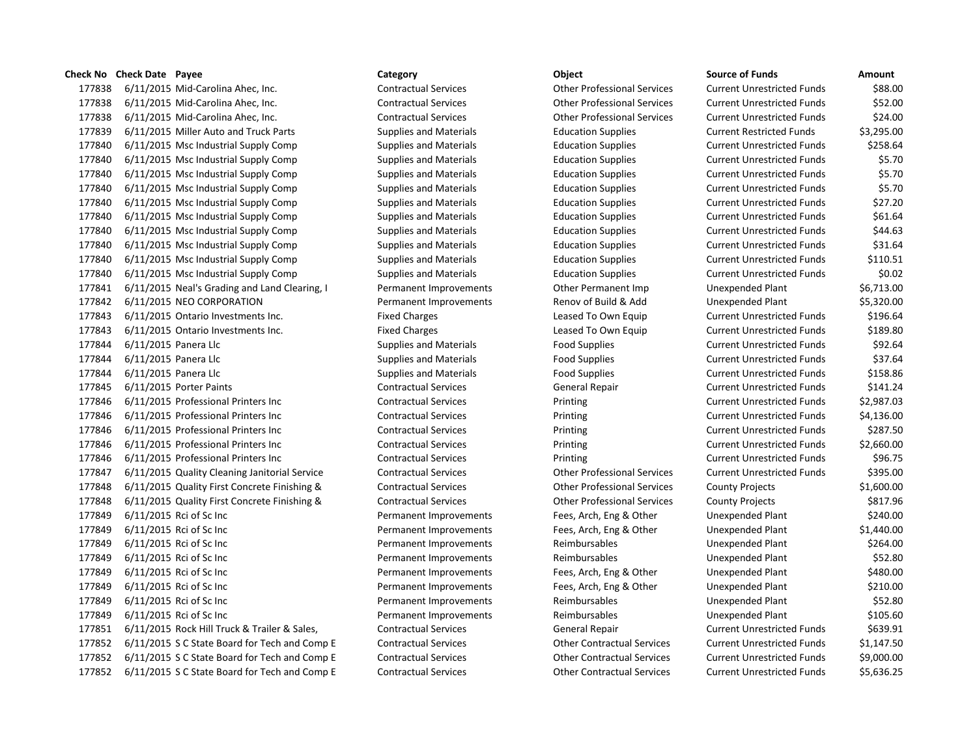6/11/2015 Mid-Carolina Ahec, Inc. Contractual Services Other Professional Services Current Unrestricted Funds \$88.00 6/11/2015 Mid-Carolina Ahec, Inc. Contractual Services Other Professional Services Current Unrestricted Funds \$52.00 6/11/2015 Mid-Carolina Ahec, Inc. Contractual Services Other Professional Services Current Unrestricted Funds \$24.00 6/11/2015 Miller Auto and Truck Parts Supplies and Materials Education Supplies Current Restricted Funds \$3,295.00 6/11/2015 Msc Industrial Supply Comp Supplies and Materials Education Supplies Current Unrestricted Funds \$258.64 6/11/2015 Msc Industrial Supply Comp Supplies and Materials Education Supplies Current Unrestricted Funds \$5.70 177840 6/11/2015 Msc Industrial Supply Comp Supplies and Materials Education Supplies Current Unrestricted Funds \$5.70 6/11/2015 Msc Industrial Supply Comp Supplies and Materials Education Supplies Current Unrestricted Funds \$5.70 6/11/2015 Msc Industrial Supply Comp Supplies and Materials Education Supplies Current Unrestricted Funds \$27.20 6/11/2015 Msc Industrial Supply Comp Supplies and Materials Education Supplies Current Unrestricted Funds \$61.64 6/11/2015 Msc Industrial Supply Comp Supplies and Materials Education Supplies Current Unrestricted Funds \$44.63 6/11/2015 Msc Industrial Supply Comp Supplies and Materials Education Supplies Current Unrestricted Funds \$31.64 6/11/2015 Msc Industrial Supply Comp Supplies and Materials Education Supplies Current Unrestricted Funds \$110.51 6/11/2015 Msc Industrial Supply Comp Supplies and Materials Education Supplies Current Unrestricted Funds \$0.02 6/11/2015 Neal's Grading and Land Clearing, I Permanent Improvements Other Permanent Imp Unexpended Plant \$6,713.00 6/11/2015 NEO CORPORATION Permanent Improvements Renov of Build & Add Unexpended Plant \$5,320.00 6/11/2015 Ontario Investments Inc. Fixed Charges Leased To Own Equip Current Unrestricted Funds \$196.64 6/11/2015 Ontario Investments Inc. Fixed Charges Leased To Own Equip Current Unrestricted Funds \$189.80 177844 6/11/2015 Panera Llc Supplies and Materials Food Supplies Current Unrestricted Funds \$92.64 177844 6/11/2015 Panera Llc Supplies and Materials Food Supplies Current Unrestricted Funds \$37.64 177844 6/11/2015 Panera Llc Supplies and Materials Food Supplies Current Unrestricted Funds \$158.86 6/11/2015 Porter Paints Contractual Services General Repair Current Unrestricted Funds \$141.24 6/11/2015 Professional Printers Inc Contractual Services Printing Current Unrestricted Funds \$2,987.03 6/11/2015 Professional Printers Inc Contractual Services Printing Current Unrestricted Funds \$4,136.00 6/11/2015 Professional Printers Inc Contractual Services Printing Current Unrestricted Funds \$287.50 6/11/2015 Professional Printers Inc Contractual Services Printing Current Unrestricted Funds \$2,660.00 6/11/2015 Professional Printers Inc Contractual Services Printing Current Unrestricted Funds \$96.75 6/11/2015 Quality Cleaning Janitorial Service Contractual Services Other Professional Services Current Unrestricted Funds \$395.00 6/11/2015 Quality First Concrete Finishing & Contractual Services Other Professional Services County Projects \$1,600.00 177848 6/11/2015 Quality First Concrete Finishing & Contractual Services Other Professional Services County Projects \$817.96 6/11/2015 Rci of Sc Inc Permanent Improvements Fees, Arch, Eng & Other Unexpended Plant \$240.00 6/11/2015 Rci of Sc Inc Permanent Improvements Fees, Arch, Eng & Other Unexpended Plant \$1,440.00 6/11/2015 Rci of Sc Inc Permanent Improvements Reimbursables Unexpended Plant \$264.00 6/11/2015 Rci of Sc Inc Permanent Improvements Reimbursables Unexpended Plant \$52.80 6/11/2015 Rci of Sc Inc Permanent Improvements Fees, Arch, Eng & Other Unexpended Plant \$480.00 6/11/2015 Rci of Sc Inc Permanent Improvements Fees, Arch, Eng & Other Unexpended Plant \$210.00 6/11/2015 Rci of Sc Inc Permanent Improvements Reimbursables Unexpended Plant \$52.80 6/11/2015 Rci of Sc Inc Permanent Improvements Reimbursables Unexpended Plant \$105.60 6/11/2015 Rock Hill Truck & Trailer & Sales, Contractual Services General Repair Current Unrestricted Funds \$639.91 6/11/2015 S C State Board for Tech and Comp E Contractual Services Other Contractual Services Current Unrestricted Funds \$1,147.50 6/11/2015 S C State Board for Tech and Comp E Contractual Services Other Contractual Services Current Unrestricted Funds \$9,000.00 6/11/2015 S C State Board for Tech and Comp E Contractual Services Other Contractual Services Current Unrestricted Funds \$5,636.25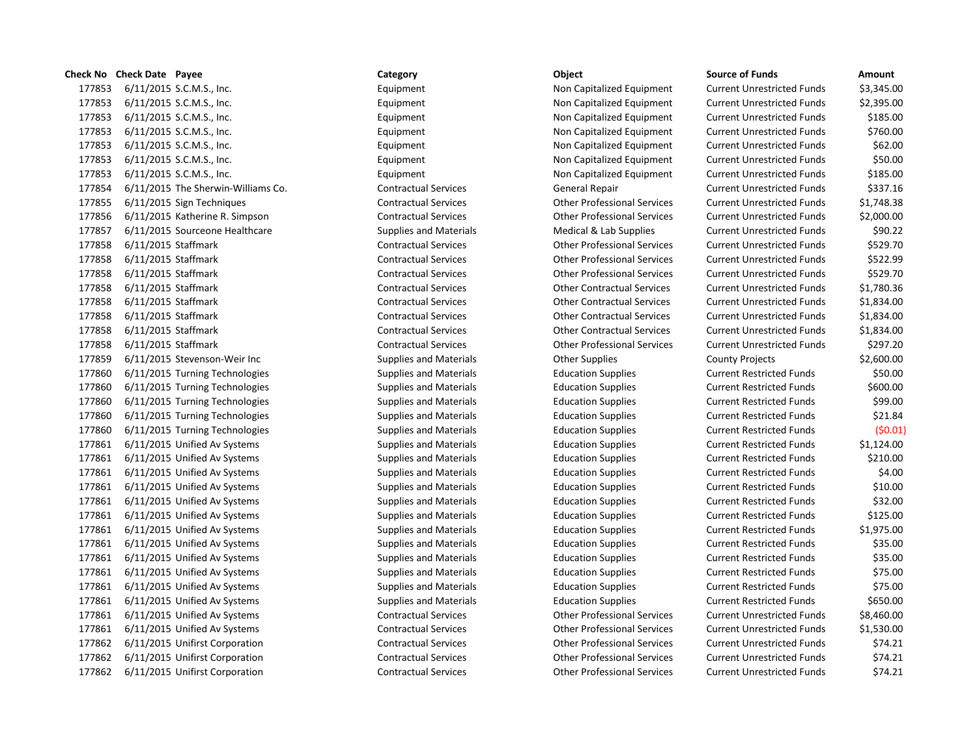|        | <b>Check No</b> Check Date Payee   | Category                      | Object                             | <b>Source of Funds</b>            | Amount     |
|--------|------------------------------------|-------------------------------|------------------------------------|-----------------------------------|------------|
| 177853 | 6/11/2015 S.C.M.S., Inc.           | Equipment                     | Non Capitalized Equipment          | <b>Current Unrestricted Funds</b> | \$3,345.00 |
| 177853 | 6/11/2015 S.C.M.S., Inc.           | Equipment                     | Non Capitalized Equipment          | <b>Current Unrestricted Funds</b> | \$2,395.00 |
| 177853 | 6/11/2015 S.C.M.S., Inc.           | Equipment                     | Non Capitalized Equipment          | <b>Current Unrestricted Funds</b> | \$185.00   |
| 177853 | 6/11/2015 S.C.M.S., Inc.           | Equipment                     | Non Capitalized Equipment          | <b>Current Unrestricted Funds</b> | \$760.00   |
| 177853 | 6/11/2015 S.C.M.S., Inc.           | Equipment                     | Non Capitalized Equipment          | <b>Current Unrestricted Funds</b> | \$62.00    |
| 177853 | 6/11/2015 S.C.M.S., Inc.           | Equipment                     | Non Capitalized Equipment          | <b>Current Unrestricted Funds</b> | \$50.00    |
| 177853 | 6/11/2015 S.C.M.S., Inc.           | Equipment                     | Non Capitalized Equipment          | <b>Current Unrestricted Funds</b> | \$185.00   |
| 177854 | 6/11/2015 The Sherwin-Williams Co. | <b>Contractual Services</b>   | General Repair                     | <b>Current Unrestricted Funds</b> | \$337.16   |
| 177855 | 6/11/2015 Sign Techniques          | <b>Contractual Services</b>   | <b>Other Professional Services</b> | <b>Current Unrestricted Funds</b> | \$1,748.38 |
| 177856 | 6/11/2015 Katherine R. Simpson     | <b>Contractual Services</b>   | <b>Other Professional Services</b> | <b>Current Unrestricted Funds</b> | \$2,000.00 |
| 177857 | 6/11/2015 Sourceone Healthcare     | <b>Supplies and Materials</b> | Medical & Lab Supplies             | <b>Current Unrestricted Funds</b> | \$90.22    |
| 177858 | 6/11/2015 Staffmark                | <b>Contractual Services</b>   | <b>Other Professional Services</b> | <b>Current Unrestricted Funds</b> | \$529.70   |
| 177858 | 6/11/2015 Staffmark                | <b>Contractual Services</b>   | <b>Other Professional Services</b> | <b>Current Unrestricted Funds</b> | \$522.99   |
| 177858 | 6/11/2015 Staffmark                | <b>Contractual Services</b>   | <b>Other Professional Services</b> | <b>Current Unrestricted Funds</b> | \$529.70   |
| 177858 | 6/11/2015 Staffmark                | <b>Contractual Services</b>   | <b>Other Contractual Services</b>  | <b>Current Unrestricted Funds</b> | \$1,780.36 |
| 177858 | 6/11/2015 Staffmark                | <b>Contractual Services</b>   | <b>Other Contractual Services</b>  | <b>Current Unrestricted Funds</b> | \$1,834.00 |
| 177858 | 6/11/2015 Staffmark                | <b>Contractual Services</b>   | <b>Other Contractual Services</b>  | <b>Current Unrestricted Funds</b> | \$1,834.00 |
| 177858 | 6/11/2015 Staffmark                | <b>Contractual Services</b>   | <b>Other Contractual Services</b>  | <b>Current Unrestricted Funds</b> | \$1,834.00 |
| 177858 | 6/11/2015 Staffmark                | <b>Contractual Services</b>   | <b>Other Professional Services</b> | <b>Current Unrestricted Funds</b> | \$297.20   |
| 177859 | 6/11/2015 Stevenson-Weir Inc       | <b>Supplies and Materials</b> | <b>Other Supplies</b>              | <b>County Projects</b>            | \$2,600.00 |
| 177860 | 6/11/2015 Turning Technologies     | <b>Supplies and Materials</b> | <b>Education Supplies</b>          | <b>Current Restricted Funds</b>   | \$50.00    |
| 177860 | 6/11/2015 Turning Technologies     | <b>Supplies and Materials</b> | <b>Education Supplies</b>          | <b>Current Restricted Funds</b>   | \$600.00   |
| 177860 | 6/11/2015 Turning Technologies     | <b>Supplies and Materials</b> | <b>Education Supplies</b>          | <b>Current Restricted Funds</b>   | \$99.00    |
| 177860 | 6/11/2015 Turning Technologies     | <b>Supplies and Materials</b> | <b>Education Supplies</b>          | <b>Current Restricted Funds</b>   | \$21.84    |
| 177860 | 6/11/2015 Turning Technologies     | <b>Supplies and Materials</b> | <b>Education Supplies</b>          | <b>Current Restricted Funds</b>   | (50.01)    |
| 177861 | 6/11/2015 Unified Av Systems       | <b>Supplies and Materials</b> | <b>Education Supplies</b>          | <b>Current Restricted Funds</b>   | \$1,124.00 |
| 177861 | 6/11/2015 Unified Av Systems       | <b>Supplies and Materials</b> | <b>Education Supplies</b>          | <b>Current Restricted Funds</b>   | \$210.00   |
| 177861 | 6/11/2015 Unified Av Systems       | <b>Supplies and Materials</b> | <b>Education Supplies</b>          | <b>Current Restricted Funds</b>   | \$4.00     |
| 177861 | 6/11/2015 Unified Av Systems       | <b>Supplies and Materials</b> | <b>Education Supplies</b>          | <b>Current Restricted Funds</b>   | \$10.00    |
| 177861 | 6/11/2015 Unified Av Systems       | <b>Supplies and Materials</b> | <b>Education Supplies</b>          | <b>Current Restricted Funds</b>   | \$32.00    |
| 177861 | 6/11/2015 Unified Av Systems       | <b>Supplies and Materials</b> | <b>Education Supplies</b>          | <b>Current Restricted Funds</b>   | \$125.00   |
| 177861 | 6/11/2015 Unified Av Systems       | <b>Supplies and Materials</b> | <b>Education Supplies</b>          | <b>Current Restricted Funds</b>   | \$1,975.00 |
| 177861 | 6/11/2015 Unified Av Systems       | <b>Supplies and Materials</b> | <b>Education Supplies</b>          | <b>Current Restricted Funds</b>   | \$35.00    |
| 177861 | 6/11/2015 Unified Av Systems       | <b>Supplies and Materials</b> | <b>Education Supplies</b>          | <b>Current Restricted Funds</b>   | \$35.00    |
| 177861 | 6/11/2015 Unified Av Systems       | <b>Supplies and Materials</b> | <b>Education Supplies</b>          | <b>Current Restricted Funds</b>   | \$75.00    |
| 177861 | 6/11/2015 Unified Av Systems       | <b>Supplies and Materials</b> | <b>Education Supplies</b>          | <b>Current Restricted Funds</b>   | \$75.00    |
| 177861 | 6/11/2015 Unified Av Systems       | <b>Supplies and Materials</b> | <b>Education Supplies</b>          | <b>Current Restricted Funds</b>   | \$650.00   |
| 177861 | 6/11/2015 Unified Av Systems       | <b>Contractual Services</b>   | <b>Other Professional Services</b> | <b>Current Unrestricted Funds</b> | \$8,460.00 |
| 177861 | 6/11/2015 Unified Av Systems       | <b>Contractual Services</b>   | <b>Other Professional Services</b> | <b>Current Unrestricted Funds</b> | \$1,530.00 |
| 177862 | 6/11/2015 Unifirst Corporation     | <b>Contractual Services</b>   | <b>Other Professional Services</b> | <b>Current Unrestricted Funds</b> | \$74.21    |
| 177862 | 6/11/2015 Unifirst Corporation     | <b>Contractual Services</b>   | <b>Other Professional Services</b> | <b>Current Unrestricted Funds</b> | \$74.21    |
| 177862 | 6/11/2015 Unifirst Corporation     | <b>Contractual Services</b>   | <b>Other Professional Services</b> | <b>Current Unrestricted Funds</b> | \$74.21    |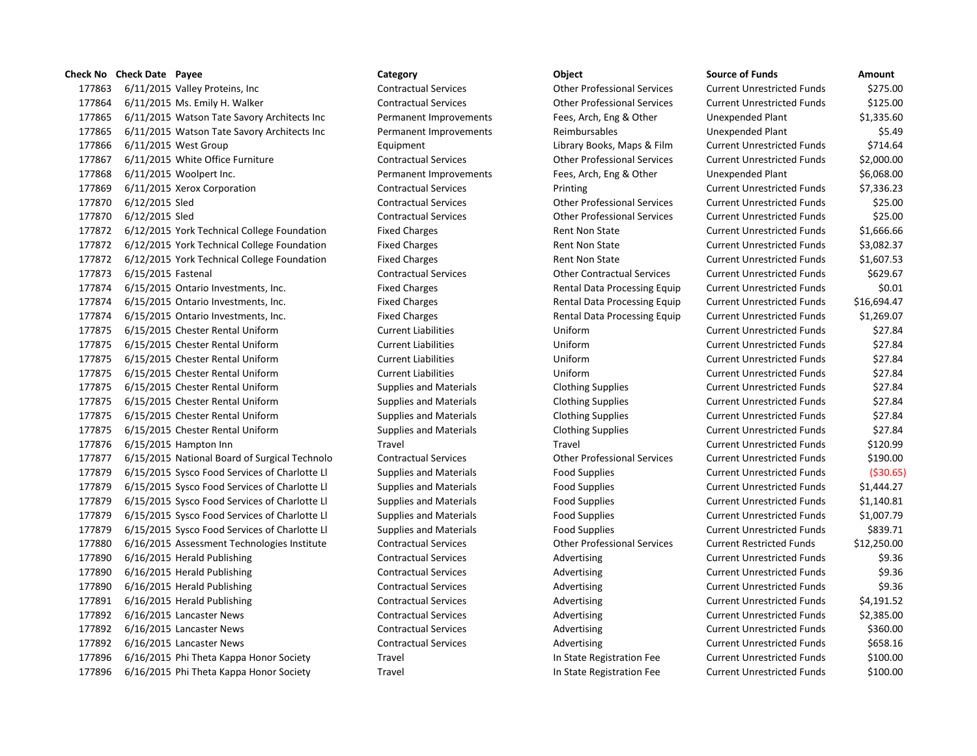6/11/2015 Valley Proteins, Inc Contractual Services Other Professional Services Current Unrestricted Funds \$275.00 6/11/2015 Ms. Emily H. Walker Contractual Services Other Professional Services Current Unrestricted Funds \$125.00 6/11/2015 Watson Tate Savory Architects Inc Permanent Improvements Fees, Arch, Eng & Other Unexpended Plant \$1,335.60 6/11/2015 Watson Tate Savory Architects Inc Permanent Improvements Reimbursables Unexpended Plant \$5.49 177866 6/11/2015 West Group **Equipment** Equipment Library Books, Maps & Film Current Unrestricted Funds \$714.64 6/11/2015 White Office Furniture Contractual Services Other Professional Services Current Unrestricted Funds \$2,000.00 6/11/2015 Woolpert Inc. Permanent Improvements Fees, Arch, Eng & Other Unexpended Plant \$6,068.00 6/11/2015 Xerox Corporation Contractual Services Printing Current Unrestricted Funds \$7,336.23 6/12/2015 Sled Contractual Services Other Professional Services Current Unrestricted Funds \$25.00 6/12/2015 Sled Contractual Services Other Professional Services Current Unrestricted Funds \$25.00 177872 6/12/2015 York Technical College Foundation Fixed Charges Rent Non State Current Unrestricted Funds \$1,666.66 177872 6/12/2015 York Technical College Foundation Fixed Charges Rent Non State Current Unrestricted Funds \$3,082.37 177872 6/12/2015 York Technical College Foundation Fixed Charges Rent Non State Current Unrestricted Funds \$1,607.53 6/15/2015 Fastenal Contractual Services Other Contractual Services Current Unrestricted Funds \$629.67 6/15/2015 Ontario Investments, Inc. Fixed Charges Rental Data Processing Equip Current Unrestricted Funds \$0.01 6/15/2015 Ontario Investments, Inc. Fixed Charges Rental Data Processing Equip Current Unrestricted Funds \$16,694.47 6/15/2015 Ontario Investments, Inc. Fixed Charges Rental Data Processing Equip Current Unrestricted Funds \$1,269.07 6/15/2015 Chester Rental Uniform Current Liabilities Uniform Current Unrestricted Funds \$27.84 6/15/2015 Chester Rental Uniform Current Liabilities Uniform Current Unrestricted Funds \$27.84 6/15/2015 Chester Rental Uniform Current Liabilities Uniform Current Unrestricted Funds \$27.84 6/15/2015 Chester Rental Uniform Current Liabilities Uniform Current Unrestricted Funds \$27.84 6/15/2015 Chester Rental Uniform Supplies and Materials Clothing Supplies Current Unrestricted Funds \$27.84 6/15/2015 Chester Rental Uniform Supplies and Materials Clothing Supplies Current Unrestricted Funds \$27.84 6/15/2015 Chester Rental Uniform Supplies and Materials Clothing Supplies Current Unrestricted Funds \$27.84 6/15/2015 Chester Rental Uniform Supplies and Materials Clothing Supplies Current Unrestricted Funds \$27.84 6/15/2015 Hampton Inn Travel Travel Current Unrestricted Funds \$120.99 6/15/2015 National Board of Surgical Technolo Contractual Services Other Professional Services Current Unrestricted Funds \$190.00 6/15/2015 Sysco Food Services of Charlotte Ll Supplies and Materials Food Supplies Current Unrestricted Funds (\$30.65) 6/15/2015 Sysco Food Services of Charlotte Ll Supplies and Materials Food Supplies Current Unrestricted Funds \$1,444.27 6/15/2015 Sysco Food Services of Charlotte Ll Supplies and Materials Food Supplies Current Unrestricted Funds \$1,140.81 6/15/2015 Sysco Food Services of Charlotte Ll Supplies and Materials Food Supplies Current Unrestricted Funds \$1,007.79 177879 6/15/2015 Sysco Food Services of Charlotte Ll Supplies and Materials Food Supplies Current Unrestricted Funds \$839.71 6/16/2015 Assessment Technologies Institute Contractual Services Other Professional Services Current Restricted Funds \$12,250.00 177890 6/16/2015 Herald Publishing Contractual Services Advertising Current Unrestricted Funds \$9.36 177890 6/16/2015 Herald Publishing Contractual Services Advertising Current Unrestricted Funds \$9.36 177890 6/16/2015 Herald Publishing enterty contractual Services and Advertising Current Unrestricted Funds \$9.36 177891 6/16/2015 Herald Publishing Contractual Services Advertising Current Unrestricted Funds \$4,191.52 177892 6/16/2015 Lancaster News Contractual Services Advertising Current Unrestricted Funds \$2,385.00 177892 6/16/2015 Lancaster News external contractual Services and Advertising Current Unrestricted Funds \$360.00 177892 6/16/2015 Lancaster News **Contractual Services** Advertising Current Unrestricted Funds \$658.16 6/16/2015 Phi Theta Kappa Honor Society Travel In State Registration Fee Current Unrestricted Funds \$100.00 6/16/2015 Phi Theta Kappa Honor Society Travel In State Registration Fee Current Unrestricted Funds \$100.00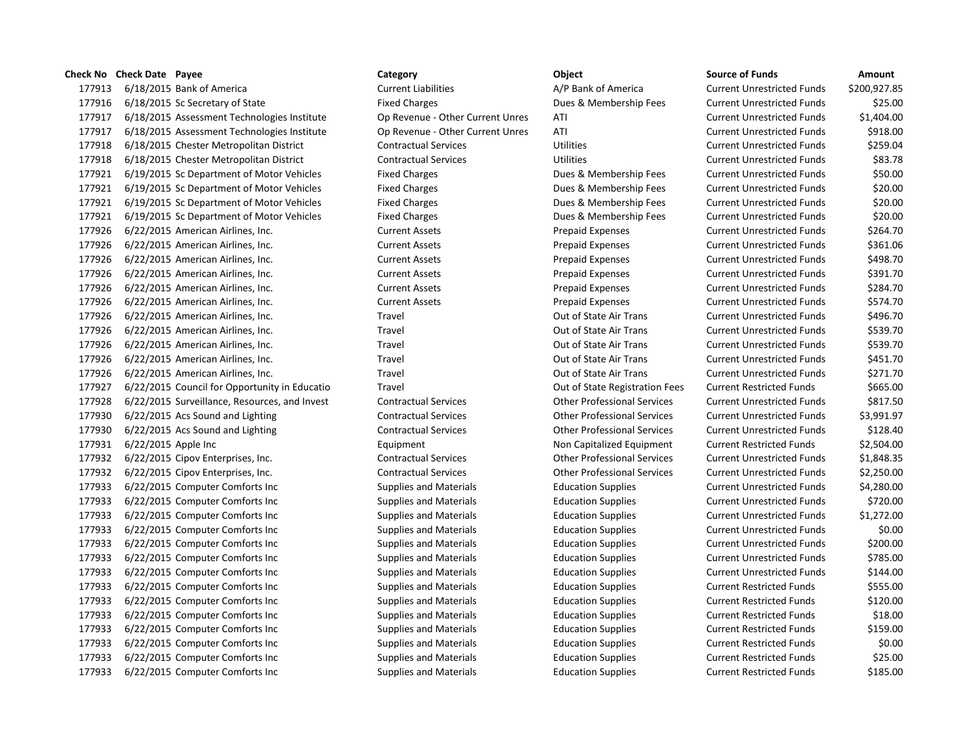## **Check No Check Date Payee Category Category Category Category Category Category Category Category Category Category Category Category Category Category Category Category Category Ca**

177913 6/18/2015 Bank of America Current Liabilities A/P Bank of America Current Liabilities A/P Bank of America 177916 6/18/2015 Sc Secretary of State Fixed Charges Fixed Charges Dues & Membership Fees Cu 177917 6/18/2015 Assessment Technologies Institute Op Revenue - Other Current Unres ATI Current Unrestricted Funds \$1,404.00 177917 6/18/2015 Assessment Technologies Institute Op Revenue - Other Current Unres ATI Current Current Bunds \$918.000 177918 6/18/2015 Chester Metropolitan District Contractual Services Utilities Utilities Cu 177918 6/18/2015 Chester Metropolitan District Contractual Services Utilities Utilities Cu 177921 6/19/2015 Sc Department of Motor Vehicles Fixed Charges Dues & Membership Fees Cu 177921 6/19/2015 Sc Department of Motor Vehicles Fixed Charges Dues & Membership Fees Cu 177921 6/19/2015 Sc Department of Motor Vehicles Fixed Charges Dues & Membership Fees Cu 177921 6/19/2015 Sc Department of Motor Vehicles Fixed Charges Dues & Membership Fees Cu 177926 6/22/2015 American Airlines, Inc. Current Assets Prepaid Expenses Current Assets 177926 6/22/2015 American Airlines, Inc. Current Assets Prepaid Expenses Current Assets 177926 6/22/2015 American Airlines, Inc. Current Assets Prepaid Expenses Current Assets 177926 6/22/2015 American Airlines, Inc. Current Assets Prepaid Expenses Current Assets 177926 6/22/2015 American Airlines, Inc. Current Assets Prepaid Expenses Current Assets 177926 6/22/2015 American Airlines, Inc. Current Assets Prepaid Expenses Current Assets 177926 6/22/2015 American Airlines, Inc. Travel Travel Current Current Current Current Current Current Current Cu 177926 6/22/2015 American Airlines, Inc. Travel Travel Current Current Current Current Current Current Current Cu 177926 6/22/2015 American Airlines, Inc. Travel Travel Current Current Current Current Current Current Current Cu 177926 6/22/2015 American Airlines, Inc. Travel Travel Current Current Current Current Current Current Current Cu 177926 6/22/2015 American Airlines, Inc. Travel Travel Current Current Current Current Current Current Current Cu 177927 6/22/2015 Council for Opportunity in Educatio Travel Travel Current Restriction Fees Current Restriction Fees 177928 6/22/2015 Surveillance, Resources, and Invest Contractual Services Current Contractual Services Current Current Contractual Services Current Unrestricted Funds \$817.500 Current Austricted Funds \$817.500 Current Fund 177930 6/22/2015 Acs Sound and Lighting Contractual Services Current Contractual Services Current Professional Services Cu 177930 6/22/2015 Acs Sound and Lighting Contractual Services Current Contractual Services Current Unrestricted Funds \$128.400 Current Professional Services Cu 177931 6/22/2015 Apple Inc **No. 2018** Equipment Equipment Non Capitalized Equipment Cu 177932 6/22/2015 Cipov Enterprises, Inc. Contractual Services Current Contractual Services Current Unrestricted Funds \$1,848.35 177932 6/22/2015 Cipov Enterprises, Inc. Contractual Services Current Contractual Services Current Professional Services Current Aurel 2000 177933 6/22/2015 Computer Comforts Inc Supplies and Materials Education Supplies **6** Cu 177933 6/22/2015 Computer Comforts Inc Supplies and Materials Education Supplies **Current Current Current Current Current Current Current Current Current Current Current Current Current Current Current Current Current Curr** 177933 6/22/2015 Computer Comforts Inc Supplies and Materials Education Supplies **Current Current Current Current Current Current Current Current Current Current Current Current Current Current Current Current Current Curr** 177933 6/22/2015 Computer Comforts Inc Supplies and Materials Education Supplies **Current Current Current Current Current Current Current Current Current Current Current Current Current Current Current Current Current Curr** 177933 6/22/2015 Computer Comforts Inc Supplies and Materials Education Supplies **Current Current Current Current Cu** 177933 6/22/2015 Computer Comforts Inc Supplies and Materials Education Supplies (Current Current Cu 177933 6/22/2015 Computer Comforts Inc Supplies and Materials Education Supplies **Current Current Current Current Current Current Current Current Current Current Current Current Current Current Current Current Current Curr** 177933 6/22/2015 Computer Comforts Inc Supplies and Materials Education Supplies **6** 6 177933 6/22/2015 Computer Comforts Inc Supplies and Materials Education Supplies **Current Restricted Funds & 120.0000** 177933 6/22/2015 Computer Comforts Inc Supplies and Materials Education Supplies **Education** Supplies Cu 177933 6/22/2015 Computer Comforts Inc Supplies and Materials Education Supplies **Education** Supplies Cu 177933 6/22/2015 Computer Comforts Inc Supplies and Materials Education Supplies 60.000 Current Restricted Fund 177933 6/22/2015 Computer Comforts Inc Supplies and Materials Education Supplies **Education** Supplies Cu 177933 6/22/2015 Computer Comforts Inc Supplies and Materials Education Supplies 60121015 Current Restricted Funds \$185.000

| urce of Funds            | Amount       |
|--------------------------|--------------|
| rrent Unrestricted Funds | \$200,927.85 |
| rrent Unrestricted Funds | \$25.00      |
| rrent Unrestricted Funds | \$1,404.00   |
| rrent Unrestricted Funds | \$918.00     |
| rrent Unrestricted Funds | \$259.04     |
| rrent Unrestricted Funds | \$83.78      |
| rrent Unrestricted Funds | \$50.00      |
| rrent Unrestricted Funds | \$20.00      |
| rrent Unrestricted Funds | \$20.00      |
| rrent Unrestricted Funds | \$20.00      |
| rrent Unrestricted Funds | \$264.70     |
| rrent Unrestricted Funds | \$361.06     |
| rrent Unrestricted Funds | \$498.70     |
| rrent Unrestricted Funds | \$391.70     |
| rrent Unrestricted Funds | \$284.70     |
| rrent Unrestricted Funds | \$574.70     |
| rrent Unrestricted Funds | \$496.70     |
| rrent Unrestricted Funds | \$539.70     |
| rrent Unrestricted Funds | \$539.70     |
| rrent Unrestricted Funds | \$451.70     |
| rrent Unrestricted Funds | \$271.70     |
| rrent Restricted Funds   | \$665.00     |
| rrent Unrestricted Funds | \$817.50     |
| rrent Unrestricted Funds | \$3,991.97   |
| rrent Unrestricted Funds | \$128.40     |
| rrent Restricted Funds   | \$2,504.00   |
| rrent Unrestricted Funds | \$1,848.35   |
| rrent Unrestricted Funds | \$2,250.00   |
| rrent Unrestricted Funds | \$4,280.00   |
| rrent Unrestricted Funds | \$720.00     |
| rrent Unrestricted Funds | \$1,272.00   |
| rrent Unrestricted Funds | \$0.00       |
| rrent Unrestricted Funds | \$200.00     |
| rrent Unrestricted Funds | \$785.00     |
| rrent Unrestricted Funds | \$144.00     |
| rrent Restricted Funds   | \$555.00     |
| rrent Restricted Funds   | \$120.00     |
| rrent Restricted Funds   | \$18.00      |
| rrent Restricted Funds   | \$159.00     |
| rrent Restricted Funds   | \$0.00       |
| rrent Restricted Funds   | \$25.00      |
| rrent Restricted Funds   | \$185.00     |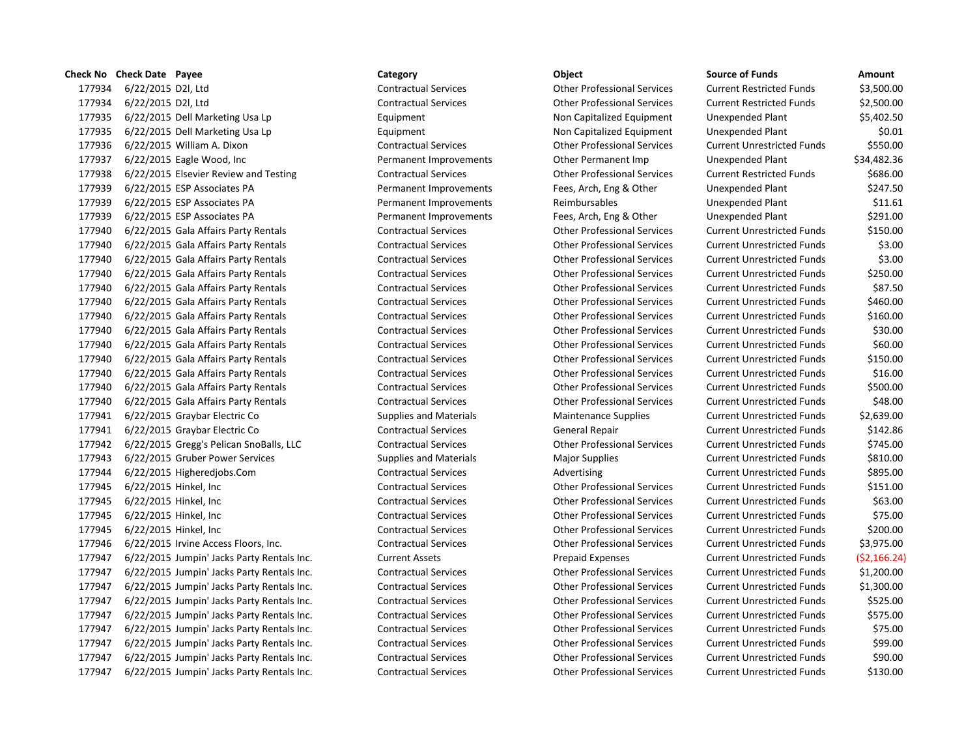6/22/2015 D2l, Ltd Contractual Services Other Professional Services Current Restricted Funds \$3,500.00 6/22/2015 D2l, Ltd Contractual Services Other Professional Services Current Restricted Funds \$2,500.00 6/22/2015 Dell Marketing Usa Lp Equipment Non Capitalized Equipment Unexpended Plant \$5,402.50 6/22/2015 Dell Marketing Usa Lp Equipment Non Capitalized Equipment Unexpended Plant \$0.01 6/22/2015 William A. Dixon Contractual Services Other Professional Services Current Unrestricted Funds \$550.00 177937 6/22/2015 Eagle Wood, Inc external permanent Improvements Other Permanent Imp Unexpended Plant \$34,482.36 6/22/2015 Elsevier Review and Testing Contractual Services Other Professional Services Current Restricted Funds \$686.00 6/22/2015 ESP Associates PA Permanent Improvements Fees, Arch, Eng & Other Unexpended Plant \$247.50 6/22/2015 ESP Associates PA Permanent Improvements Reimbursables Unexpended Plant \$11.61 6/22/2015 ESP Associates PA Permanent Improvements Fees, Arch, Eng & Other Unexpended Plant \$291.00 6/22/2015 Gala Affairs Party Rentals Contractual Services Other Professional Services Current Unrestricted Funds \$150.00 6/22/2015 Gala Affairs Party Rentals Contractual Services Other Professional Services Current Unrestricted Funds \$3.00 6/22/2015 Gala Affairs Party Rentals Contractual Services Other Professional Services Current Unrestricted Funds \$3.00 6/22/2015 Gala Affairs Party Rentals Contractual Services Other Professional Services Current Unrestricted Funds \$250.00 6/22/2015 Gala Affairs Party Rentals Contractual Services Other Professional Services Current Unrestricted Funds \$87.50 6/22/2015 Gala Affairs Party Rentals Contractual Services Other Professional Services Current Unrestricted Funds \$460.00 6/22/2015 Gala Affairs Party Rentals Contractual Services Other Professional Services Current Unrestricted Funds \$160.00 6/22/2015 Gala Affairs Party Rentals Contractual Services Other Professional Services Current Unrestricted Funds \$30.00 6/22/2015 Gala Affairs Party Rentals Contractual Services Other Professional Services Current Unrestricted Funds \$60.00 6/22/2015 Gala Affairs Party Rentals Contractual Services Other Professional Services Current Unrestricted Funds \$150.00 6/22/2015 Gala Affairs Party Rentals Contractual Services Other Professional Services Current Unrestricted Funds \$16.00 6/22/2015 Gala Affairs Party Rentals Contractual Services Other Professional Services Current Unrestricted Funds \$500.00 6/22/2015 Gala Affairs Party Rentals Contractual Services Other Professional Services Current Unrestricted Funds \$48.00 6/22/2015 Graybar Electric Co Supplies and Materials Maintenance Supplies Current Unrestricted Funds \$2,639.00 177941 6/22/2015 Graybar Electric Co Contractual Services General Repair Current Unrestricted Funds \$142.86 6/22/2015 Gregg's Pelican SnoBalls, LLC Contractual Services Other Professional Services Current Unrestricted Funds \$745.00 6/22/2015 Gruber Power Services Supplies and Materials Major Supplies Current Unrestricted Funds \$810.00 177944 6/22/2015 Higheredjobs.Com Contractual Services Advertising Current Unrestricted Funds \$895.00 6/22/2015 Hinkel, Inc Contractual Services Other Professional Services Current Unrestricted Funds \$151.00 6/22/2015 Hinkel, Inc Contractual Services Other Professional Services Current Unrestricted Funds \$63.00 6/22/2015 Hinkel, Inc Contractual Services Other Professional Services Current Unrestricted Funds \$75.00 6/22/2015 Hinkel, Inc Contractual Services Other Professional Services Current Unrestricted Funds \$200.00 6/22/2015 Irvine Access Floors, Inc. Contractual Services Other Professional Services Current Unrestricted Funds \$3,975.00 6/22/2015 Jumpin' Jacks Party Rentals Inc. Current Assets Prepaid Expenses Current Unrestricted Funds (\$2,166.24) 6/22/2015 Jumpin' Jacks Party Rentals Inc. Contractual Services Other Professional Services Current Unrestricted Funds \$1,200.00 6/22/2015 Jumpin' Jacks Party Rentals Inc. Contractual Services Other Professional Services Current Unrestricted Funds \$1,300.00 6/22/2015 Jumpin' Jacks Party Rentals Inc. Contractual Services Other Professional Services Current Unrestricted Funds \$525.00 6/22/2015 Jumpin' Jacks Party Rentals Inc. Contractual Services Other Professional Services Current Unrestricted Funds \$575.00 6/22/2015 Jumpin' Jacks Party Rentals Inc. Contractual Services Other Professional Services Current Unrestricted Funds \$75.00 6/22/2015 Jumpin' Jacks Party Rentals Inc. Contractual Services Other Professional Services Current Unrestricted Funds \$99.00 6/22/2015 Jumpin' Jacks Party Rentals Inc. Contractual Services Other Professional Services Current Unrestricted Funds \$90.00

**Check No Check Date Payee Category Object Source of Funds Amount** 6/22/2015 Jumpin' Jacks Party Rentals Inc. Contractual Services Other Professional Services Current Unrestricted Funds \$130.00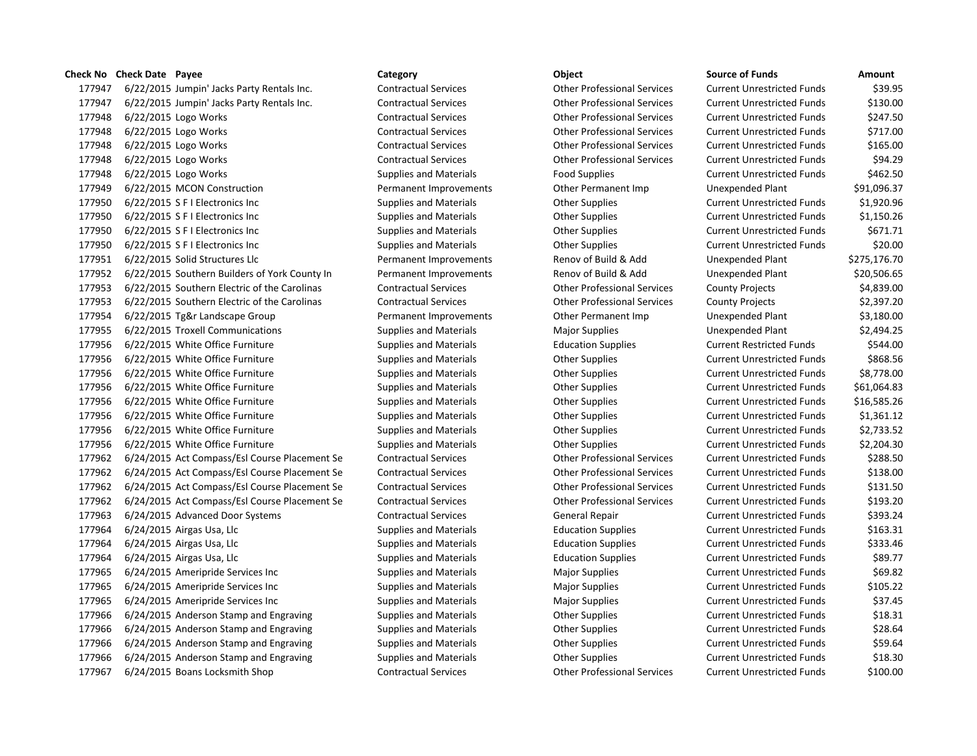177947 6/22/2015 Jumpin' Jacks Party Rentals Inc. Contractual Services Other Professional Services Current Unrestricted Funds \$39.95 177947 6/22/2015 Jumpin' Jacks Party Rentals Inc. Contractual Services Other Professional Services Current Unrestricted Funds \$130.00 177948 6/22/2015 Logo Works Contractual Services Other Professional Services Current Unrestricted Funds \$247.50 177948 6/22/2015 Logo Works Contractual Services Other Professional Services Current Unrestricted Funds \$717.00 177948 6/22/2015 Logo Works Contractual Services Other Professional Services Current Unrestricted Funds \$165.00 177948 6/22/2015 Logo Works Contractual Services Other Professional Services Current Unrestricted Funds \$94.29 177948 6/22/2015 Logo Works **Supplies and Materials** Food Supplies Food Supplies Current Unrestricted Funds \$462.50 177949 6/22/2015 MCON Construction **Permanent Improvements** Other Permanent Imp Unexpended Plant \$91,096.37 177950 6/22/2015 S F I Electronics Inc Supplies and Materials Other Supplies Current Unrestricted Funds \$1,920.96 177950 6/22/2015 S F I Electronics Inc Supplies and Materials Other Supplies Current Unrestricted Funds \$1,150.26 177950 6/22/2015 S F I Electronics Inc Supplies and Materials Current Unrestricted Funds 5671.71 177950 6/22/2015 S F I Electronics Inc Supplies and Materials Other Supplies Current Unrestricted Funds \$20.00 177951 6/22/2015 Solid Structures Llc Permanent Improvements Renov of Build & Add Unexpended Plant \$275,176.70 177952 6/22/2015 Southern Builders of York County In Permanent Improvements Renov of Build & Add Unexpended Plant \$20,506.65 177953 6/22/2015 Southern Electric of the Carolinas Contractual Services Other Professional Services County Projects \$4,839.00 177953 6/22/2015 Southern Electric of the Carolinas Contractual Services Other Professional Services County Projects \$2,397.20 177954 6/22/2015 Tg&r Landscape Group Permanent Improvements Other Permanent Imp Unexpended Plant \$3,180.00 177955 6/22/2015 Troxell Communications Supplies and Materials Major Supplies Unexpended Plant \$2,494.25 177956 6/22/2015 White Office Furniture Supplies and Materials Education Supplies Current Restricted Funds \$544.00 177956 6/22/2015 White Office Furniture Supplies and Materials Current Unrestricted Funds \$868.56 177956 6/22/2015 White Office Furniture Supplies and Materials Current Unrestricted Funds \$8,778.00 177956 6/22/2015 White Office Furniture Supplies and Materials Current Unrestricted Funds 561,064.83 177956 6/22/2015 White Office Furniture Supplies and Materials Other Supplies Current Unrestricted Funds \$16,585.26 177956 6/22/2015 White Office Furniture Supplies and Materials Other Supplies Current Unrestricted Funds \$1,361.12 177956 6/22/2015 White Office Furniture Supplies and Materials Current Unrestricted Funds 52,733.52 177956 6/22/2015 White Office Furniture Supplies and Materials Current Unrestricted Funds 52.204.30 177962 6/24/2015 Act Compass/Esl Course Placement Se Contractual Services Other Professional Services Current Unrestricted Funds \$288.50 177962 6/24/2015 Act Compass/Esl Course Placement Se Contractual Services Other Professional Services Current Unrestricted Funds \$138.00 177962 6/24/2015 Act Compass/Esl Course Placement Se Contractual Services Other Professional Services Current Unrestricted Funds \$131.50 177962 6/24/2015 Act Compass/Esl Course Placement Se Contractual Services Other Professional Services Current Unrestricted Funds \$193.20 177963 6/24/2015 Advanced Door Systems Contractual Services General Repair Current Unrestricted Funds \$393.24 177964 6/24/2015 Airgas Usa, Llc Supplies and Materials Education Supplies Current Unrestricted Funds \$163.31 177964 6/24/2015 Airgas Usa, Llc Supplies and Materials Education Supplies Current Unrestricted Funds \$333.46 177964 6/24/2015 Airgas Usa, Llc Supplies and Materials Education Supplies Current Unrestricted Funds \$89.77 177965 6/24/2015 Ameripride Services Inc Supplies and Materials Major Supplies Current Unrestricted Funds \$69.82 177965 6/24/2015 Ameripride Services Inc Supplies and Materials Major Supplies Magior Supplies Current Unrestricted Funds \$105.22 177965 6/24/2015 Ameripride Services Inc Supplies and Materials Major Supplies Magior Supplies Current Unrestricted Funds \$37.45 177966 6/24/2015 Anderson Stamp and Engraving Supplies and Materials Current Unrestricted Funds 518.31 (177966 6 177966 6/24/2015 Anderson Stamp and Engraving Supplies and Materials Current Unrestricted Funds 528.64 177966 6/24/2015 Anderson Stamp and Engraving Supplies and Materials Current Unrestricted Funds 559.64 177966 6/24/2015 Anderson Stamp and Engraving Supplies and Materials Current Unrestricted Funds 518.30 177967 6/24/2015 Boans Locksmith Shop Contractual Services Other Professional Services Current Unrestricted Funds \$100.00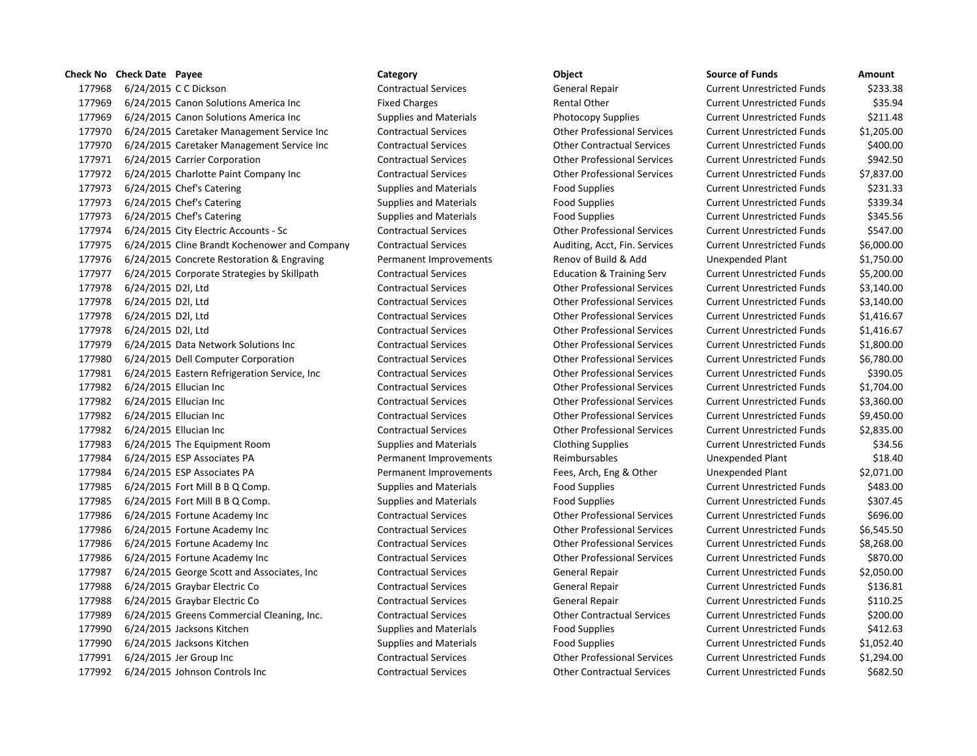## **Check No Check Date Payee Category Category Category Category Category Category Category CALC**

177968 6/24/2015 C C Dickson Current Current Contractual Services General Repair Current Unrestricted Funds \$2 177969 6/24/2015 Canon Solutions America Inc Fixed Charges Rental Other Rental Other Current Current Current Cu 177969 6/24/2015 Canon Solutions America Inc Supplies and Materials Photocopy Supplies Current Current Current Cu 177970 6/24/2015 Caretaker Management Service Inc Contractual Services Current Contractual Services Current Cu 177970 6/24/2015 Caretaker Management Service Inc Contractual Services Current Contractual Services Cu 177971 6/24/2015 Carrier Corporation Contractual Services Current Contractual Services Current Unrestricted Funds \$942.500 Current Professional Services Cu 177972 6/24/2015 Charlotte Paint Company Inc Contractual Services Current Contractual Services Current Unrestricted Funds \$7,837.000 Current Unrestricted Funds \$7,837.000 Current Units \$7,837.000 Current Unrestricted Funds 177973 6/24/2015 Chef's Catering Supplies and Materials Food Supplies Food Supplies Current Current Current Cu 177973 6/24/2015 Chef's Catering Supplies and Materials Food Supplies Food Supplies Food Supplies Cu 177973 6/24/2015 Chef's Catering Supplies and Materials Food Supplies Food Supplies Food Supplies Cu 177974 6/24/2015 City Electric Accounts - Sc Contractual Services Current Current Other Professional Services Cu 177975 6/24/2015 Cline Brandt Kochenower and Company Contractual Services Auditing, Acct, Fin. Services Cu 177976 6/24/2015 Concrete Restoration & Engraving Permanent Improvements Renov of Build & Add Unexpended Plant 177977 6/24/2015 Corporate Strategies by Skillpath Contractual Services Education & Training Serv Cu 177978 6/24/2015 D2l, Ltd Contractual Services Current Contractual Services Current Unrestricted Funds & Current Unrestricted Funds & Current Unrestricted Funds & Current Unrestricted Funds & Current Unrestricted Funds & C 177978 6/24/2015 D2l, Ltd Contractual Services Other Professional Services Current Unrestricted Funds \$3,140.00 177978 6/24/2015 D2l, Ltd Contractual Services Current Contractual Services Current Unrestricted Funds & 1,416 177978 6/24/2015 D2l, Ltd Contractual Services Current Contractual Services Current Unrestricted Funds & 1,416 177979 6/24/2015 Data Network Solutions Inc Contractual Services Other Professional Services Current Unrestricted Funds \$1,800.00 177980 6/24/2015 Dell Computer Corporation Contractual Services Other Professional Services Current Unrestricted Funds \$6,780.00 177981 6/24/2015 Eastern Refrigeration Service, Inc Contractual Services Current Contractual Services Current Cu 177982 6/24/2015 Ellucian Inc Contractual Services Other Professional Services Current Unrestricted Funds \$1,704.00 177982 6/24/2015 Ellucian Inc Contractual Services Current Contractual Services Current Unrestricted Funds & S 177982 6/24/2015 Ellucian Inc Contractual Services Current Contractual Services Current Unrestricted Funds \$9, 177982 6/24/2015 Ellucian Inc Contractual Services Current Current Other Professional Services Current Unrestricted Funds & 2,836.000 Current Unrestricted Funds \$2,836.000 Current Unrestricted Funds \$2,836.000 Current Unre 177983 6/24/2015 The Equipment Room Supplies and Materials Current Clothing Supplies Current Current Current Cu 177984 6/24/2015 ESP Associates PA **Permanent Improvements** Reimbursables Reimbursables 177984 6/24/2015 ESP Associates PA **Permanent Improvements** Fees, Arch, Eng & Other Unexpended Plant & 2,071.000 177985 6/24/2015 Fort Mill B B Q Comp. Supplies and Materials Food Supplies Food Supplies Current Cu 177985 6/24/2015 Fort Mill B B Q Comp. Supplies and Materials Food Supplies Food Supplies Fort Mill B B Q Comp. 177986 6/24/2015 Fortune Academy Inc Contractual Services Current Contractual Services Current Unrestricted Funds & Gu 177986 6/24/2015 Fortune Academy Inc Contractual Services Current Contractual Services Current Unrestricted Funds & Cu 177986 6/24/2015 Fortune Academy Inc Contractual Services Current Contractual Services Current Unrestricted Funds \$8,268.000 177986 6/24/2015 Fortune Academy Inc Contractual Services Current Contractual Services Current Unrestricted Funds & Cu 177987 6/24/2015 George Scott and Associates, Inc Contractual Services General Repair Current Unrestricted Funds \$2,050.00 177988 6/24/2015 Graybar Electric Co Contractual Services General Repair Current Current Current Action Current Mu 177988 6/24/2015 Graybar Electric Co Contractual Services General Repair Current Current Current Action Current Action Current Action Current Action Current Action Current Action Current Action Current Action Current Actio 177989 6/24/2015 Greens Commercial Cleaning, Inc. Contractual Services Current Contractual Services Cu 177990 6/24/2015 Jacksons Kitchen Supplies and Materials Food Supplies Food Supplies Current Current Current Cu 177990 6/24/2015 Jacksons Kitchen Supplies and Materials Food Supplies Food Supplies Current Current Current Cu 177991 6/24/2015 Jer Group Inc Contractual Services Current Contractual Services Current Unrestricted Funds \$1, 177992 6/24/2015 Johnson Controls Inc Contractual Services Other Contractual Services Current Unrestricted Funds \$682.50

| <b>purce of Funds</b>     | Amount     |
|---------------------------|------------|
| urrent Unrestricted Funds | \$233.38   |
| urrent Unrestricted Funds | \$35.94    |
| urrent Unrestricted Funds | \$211.48   |
| urrent Unrestricted Funds | \$1,205.00 |
| urrent Unrestricted Funds | \$400.00   |
| urrent Unrestricted Funds | \$942.50   |
| urrent Unrestricted Funds | \$7,837.00 |
| urrent Unrestricted Funds | \$231.33   |
| urrent Unrestricted Funds | \$339.34   |
| urrent Unrestricted Funds | \$345.56   |
| urrent Unrestricted Funds | \$547.00   |
| urrent Unrestricted Funds | \$6,000.00 |
| nexpended Plant           | \$1,750.00 |
| urrent Unrestricted Funds | \$5,200.00 |
| urrent Unrestricted Funds | \$3,140.00 |
| urrent Unrestricted Funds | \$3,140.00 |
| urrent Unrestricted Funds | \$1,416.67 |
| urrent Unrestricted Funds | \$1,416.67 |
| urrent Unrestricted Funds | \$1,800.00 |
| urrent Unrestricted Funds | \$6,780.00 |
| urrent Unrestricted Funds | \$390.05   |
| urrent Unrestricted Funds | \$1,704.00 |
| urrent Unrestricted Funds | \$3,360.00 |
| urrent Unrestricted Funds | \$9,450.00 |
| urrent Unrestricted Funds | \$2,835.00 |
| urrent Unrestricted Funds | \$34.56    |
| nexpended Plant           | \$18.40    |
| nexpended Plant           | \$2,071.00 |
| urrent Unrestricted Funds | \$483.00   |
| urrent Unrestricted Funds | \$307.45   |
| urrent Unrestricted Funds | \$696.00   |
| urrent Unrestricted Funds | \$6,545.50 |
| urrent Unrestricted Funds | \$8,268.00 |
| urrent Unrestricted Funds | \$870.00   |
| urrent Unrestricted Funds | \$2,050.00 |
| urrent Unrestricted Funds | \$136.81   |
| urrent Unrestricted Funds | \$110.25   |
| urrent Unrestricted Funds | \$200.00   |
| urrent Unrestricted Funds | \$412.63   |
| urrent Unrestricted Funds | \$1,052.40 |
| urrent Unrestricted Funds | \$1,294.00 |
| irrent Unrestricted Funds | \$682.50   |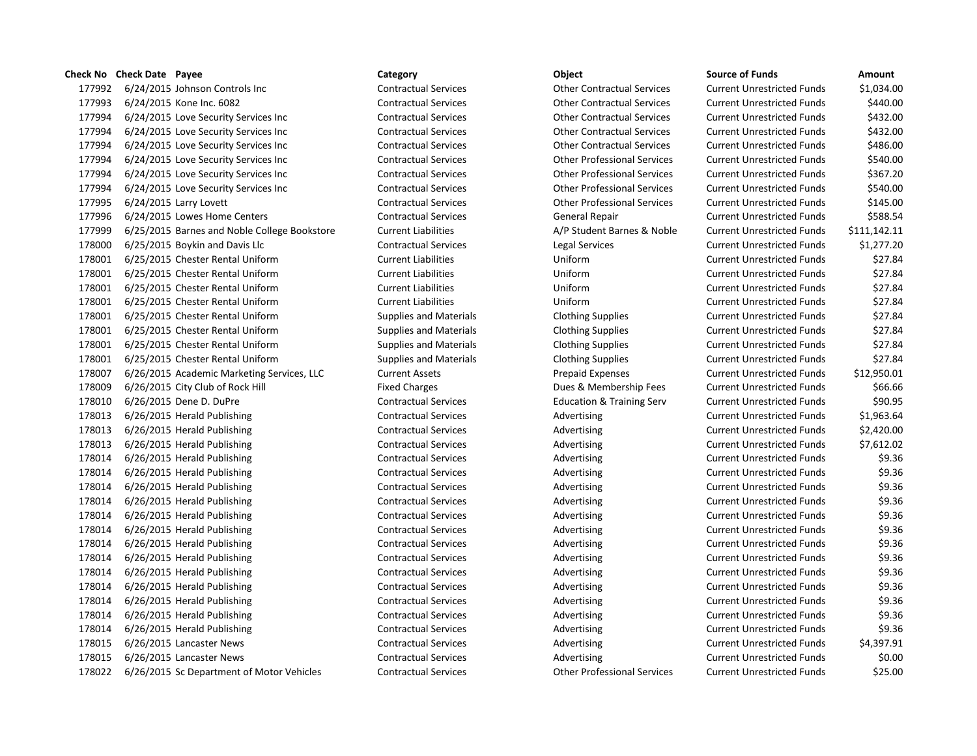## **Check No Check Date Payee Category Category Category Category Category Category Category Check No Check Date Check No Check Date Amount**

177992 6/24/2015 Johnson Controls Inc Contractual Services Other Contractual Services Current Unrestricted Funds \$1,034.00 177993 6/24/2015 Kone Inc. 6082 Contractual Services Other Contractual Services Current Unrestricted Funds \$440.00 177994 6/24/2015 Love Security Services Inc Contractual Services Other Contractual Services Current Unrestricted Funds \$432.00 177994 6/24/2015 Love Security Services Inc Contractual Services Other Contractual Services Current Unrestricted Funds \$432.00 177994 6/24/2015 Love Security Services Inc Contractual Services Other Contractual Services Current Unrestricted Funds \$486.00 177994 6/24/2015 Love Security Services Inc Contractual Services Other Professional Services Current Unrestricted Funds \$540.00 177994 6/24/2015 Love Security Services Inc Contractual Services Other Professional Services Current Unrestricted Funds \$367.20 177994 6/24/2015 Love Security Services Inc Contractual Services Other Professional Services Current Unrestricted Funds \$540.00 177995 6/24/2015 Larry Lovett Contractual Services Other Professional Services Current Unrestricted Funds \$145.00 177996 6/24/2015 Lowes Home Centers Contractual Services General Repair Current Unrestricted Funds 5588.54 177999 6/25/2015 Barnes and Noble College Bookstore Current Liabilities A/P Student Barnes & Noble Current Unrestricted Funds \$111,142.11 178000 6/25/2015 Boykin and Davis Llc Contractual Services Legal Services Current Unrestricted Funds \$1,277.20 178001 6/25/2015 Chester Rental Uniform Current Liabilities Uniform Current Unrestricted Funds \$27.84 178001 6/25/2015 Chester Rental Uniform Current Liabilities Uniform Current Unrestricted Funds \$27.84 178001 6/25/2015 Chester Rental Uniform Current Liabilities Uniform Current Unrestricted Funds \$27.84 178001 6/25/2015 Chester Rental Uniform Current Liabilities Uniform Current Unrestricted Funds \$27.84 178001 6/25/2015 Chester Rental Uniform Supplies and Materials Clothing Supplies Current Unrestricted Funds \$27.84 178001 6/25/2015 Chester Rental Uniform Supplies and Materials Clothing Supplies Current Unrestricted Funds \$27.84 178001 6/25/2015 Chester Rental Uniform Supplies and Materials Clothing Supplies Current Unrestricted Funds \$27.84 178001 6/25/2015 Chester Rental Uniform Supplies and Materials Clothing Supplies Current Unrestricted Funds \$27.84 178007 6/26/2015 Academic Marketing Services, LLC Current Assets Prepaid Expenses Current Unrestricted Funds \$12,950.01 178009 6/26/2015 City Club of Rock Hill Fixed Charges Fixed Charges Dues & Membership Fees Current Unrestricted Funds \$66.66 178010 6/26/2015 Dene D. DuPre Contractual Services Education & Training Serv Current Unrestricted Funds \$90.95 178013 6/26/2015 Herald Publishing Contractual Services Advertising Current Unrestricted Funds \$1,963.64 178013 6/26/2015 Herald Publishing Contractual Services Advertising Current Unrestricted Funds \$2,420.00 178013 6/26/2015 Herald Publishing Contractual Services Advertising Current Unrestricted Funds \$7,612.02 178014 6/26/2015 Herald Publishing Contractual Services Advertising Current Unrestricted Funds \$9.36 178014 6/26/2015 Herald Publishing Contractual Services Advertising Current Unrestricted Funds \$9.36 178014 6/26/2015 Herald Publishing Contractual Services Advertising Current Unrestricted Funds \$9.36 178014 6/26/2015 Herald Publishing Contractual Services Advertising Current Unrestricted Funds \$9.36 178014 6/26/2015 Herald Publishing Contractual Services Advertising Current Unrestricted Funds \$9.36 178014 6/26/2015 Herald Publishing Contractual Services Advertising Current Unrestricted Funds \$9.36 178014 6/26/2015 Herald Publishing Contractual Services Advertising Current Unrestricted Funds \$9.36 178014 6/26/2015 Herald Publishing Contractual Services Advertising Current Unrestricted Funds \$9.36 178014 6/26/2015 Herald Publishing Contractual Services Advertising Current Unrestricted Funds \$9.36 178014 6/26/2015 Herald Publishing Contractual Services Advertising Current Unrestricted Funds \$9.36 178014 6/26/2015 Herald Publishing Contractual Services Advertising Current Unrestricted Funds \$9.36 178014 6/26/2015 Herald Publishing Contractual Services Advertising Current Unrestricted Funds \$9.36 178014 6/26/2015 Herald Publishing Contractual Services Advertising Current Unrestricted Funds \$9.36 178015 6/26/2015 Lancaster News Contractual Services Advertising Current Unrestricted Funds \$4,397.91 178015 6/26/2015 Lancaster News **Contractual Services** Advertising Current Unrestricted Funds \$0.00 178022 6/26/2015 Sc Department of Motor Vehicles Contractual Services Other Professional Services Current Unrestricted Funds \$25.00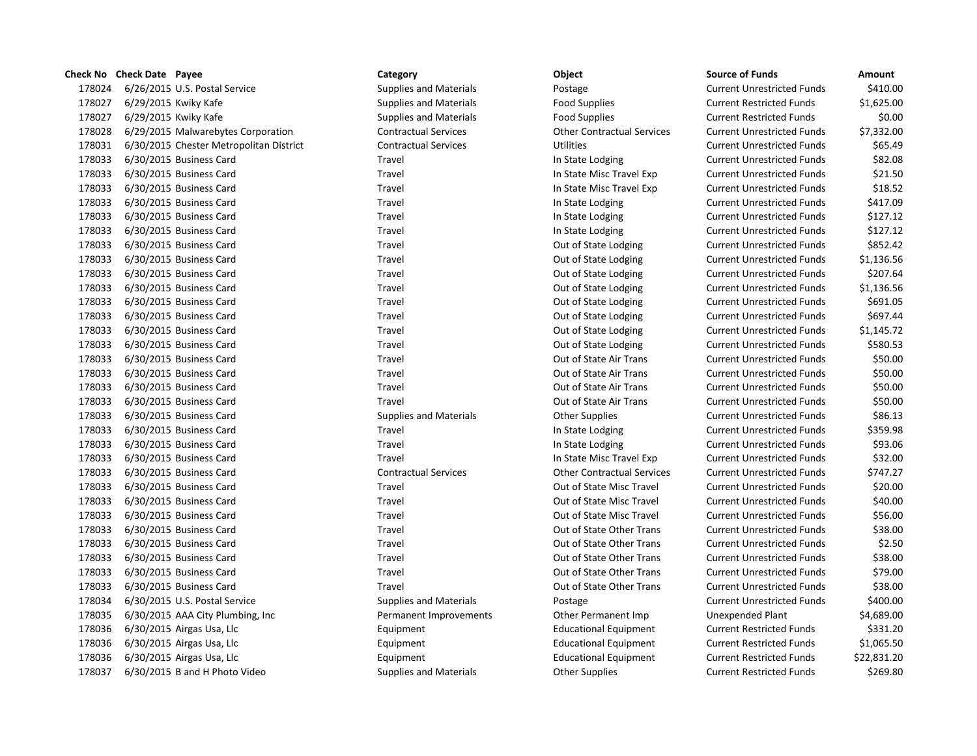|        | <b>Check No</b> Check Date Payee |                                         | Category                      | Object                            | <b>Source of Funds</b>            | Amount      |
|--------|----------------------------------|-----------------------------------------|-------------------------------|-----------------------------------|-----------------------------------|-------------|
| 178024 |                                  | 6/26/2015 U.S. Postal Service           | <b>Supplies and Materials</b> | Postage                           | <b>Current Unrestricted Funds</b> | \$410.00    |
| 178027 |                                  | 6/29/2015 Kwiky Kafe                    | <b>Supplies and Materials</b> | <b>Food Supplies</b>              | <b>Current Restricted Funds</b>   | \$1,625.00  |
| 178027 | 6/29/2015 Kwiky Kafe             |                                         | <b>Supplies and Materials</b> | <b>Food Supplies</b>              | <b>Current Restricted Funds</b>   | \$0.00      |
| 178028 |                                  | 6/29/2015 Malwarebytes Corporation      | <b>Contractual Services</b>   | <b>Other Contractual Services</b> | <b>Current Unrestricted Funds</b> | \$7,332.00  |
| 178031 |                                  | 6/30/2015 Chester Metropolitan District | <b>Contractual Services</b>   | <b>Utilities</b>                  | <b>Current Unrestricted Funds</b> | \$65.49     |
| 178033 |                                  | 6/30/2015 Business Card                 | Travel                        | In State Lodging                  | <b>Current Unrestricted Funds</b> | \$82.08     |
| 178033 |                                  | 6/30/2015 Business Card                 | Travel                        | In State Misc Travel Exp          | <b>Current Unrestricted Funds</b> | \$21.50     |
| 178033 |                                  | 6/30/2015 Business Card                 | Travel                        | In State Misc Travel Exp          | <b>Current Unrestricted Funds</b> | \$18.52     |
| 178033 |                                  | 6/30/2015 Business Card                 | Travel                        | In State Lodging                  | <b>Current Unrestricted Funds</b> | \$417.09    |
| 178033 |                                  | 6/30/2015 Business Card                 | Travel                        | In State Lodging                  | <b>Current Unrestricted Funds</b> | \$127.12    |
| 178033 |                                  | 6/30/2015 Business Card                 | Travel                        | In State Lodging                  | <b>Current Unrestricted Funds</b> | \$127.12    |
| 178033 |                                  | 6/30/2015 Business Card                 | Travel                        | Out of State Lodging              | <b>Current Unrestricted Funds</b> | \$852.42    |
| 178033 |                                  | 6/30/2015 Business Card                 | Travel                        | Out of State Lodging              | <b>Current Unrestricted Funds</b> | \$1,136.56  |
| 178033 |                                  | 6/30/2015 Business Card                 | Travel                        | Out of State Lodging              | <b>Current Unrestricted Funds</b> | \$207.64    |
| 178033 |                                  | 6/30/2015 Business Card                 | Travel                        | Out of State Lodging              | <b>Current Unrestricted Funds</b> | \$1,136.56  |
| 178033 |                                  | 6/30/2015 Business Card                 | Travel                        | Out of State Lodging              | <b>Current Unrestricted Funds</b> | \$691.05    |
| 178033 |                                  | 6/30/2015 Business Card                 | Travel                        | Out of State Lodging              | <b>Current Unrestricted Funds</b> | \$697.44    |
| 178033 |                                  | 6/30/2015 Business Card                 | Travel                        | Out of State Lodging              | <b>Current Unrestricted Funds</b> | \$1,145.72  |
| 178033 |                                  | 6/30/2015 Business Card                 | Travel                        | Out of State Lodging              | <b>Current Unrestricted Funds</b> | \$580.53    |
| 178033 |                                  | 6/30/2015 Business Card                 | Travel                        | Out of State Air Trans            | <b>Current Unrestricted Funds</b> | \$50.00     |
| 178033 |                                  | 6/30/2015 Business Card                 | Travel                        | Out of State Air Trans            | <b>Current Unrestricted Funds</b> | \$50.00     |
| 178033 |                                  | 6/30/2015 Business Card                 | Travel                        | Out of State Air Trans            | <b>Current Unrestricted Funds</b> | \$50.00     |
| 178033 |                                  | 6/30/2015 Business Card                 | Travel                        | Out of State Air Trans            | <b>Current Unrestricted Funds</b> | \$50.00     |
| 178033 |                                  | 6/30/2015 Business Card                 | <b>Supplies and Materials</b> | <b>Other Supplies</b>             | <b>Current Unrestricted Funds</b> | \$86.13     |
| 178033 |                                  | 6/30/2015 Business Card                 | Travel                        | In State Lodging                  | <b>Current Unrestricted Funds</b> | \$359.98    |
| 178033 |                                  | 6/30/2015 Business Card                 | Travel                        | In State Lodging                  | <b>Current Unrestricted Funds</b> | \$93.06     |
| 178033 |                                  | 6/30/2015 Business Card                 | Travel                        | In State Misc Travel Exp          | <b>Current Unrestricted Funds</b> | \$32.00     |
| 178033 |                                  | 6/30/2015 Business Card                 | <b>Contractual Services</b>   | <b>Other Contractual Services</b> | <b>Current Unrestricted Funds</b> | \$747.27    |
| 178033 |                                  | 6/30/2015 Business Card                 | Travel                        | Out of State Misc Travel          | <b>Current Unrestricted Funds</b> | \$20.00     |
| 178033 |                                  | 6/30/2015 Business Card                 | Travel                        | Out of State Misc Travel          | <b>Current Unrestricted Funds</b> | \$40.00     |
| 178033 |                                  | 6/30/2015 Business Card                 | Travel                        | Out of State Misc Travel          | <b>Current Unrestricted Funds</b> | \$56.00     |
| 178033 |                                  | 6/30/2015 Business Card                 | Travel                        | Out of State Other Trans          | <b>Current Unrestricted Funds</b> | \$38.00     |
| 178033 |                                  | 6/30/2015 Business Card                 | Travel                        | Out of State Other Trans          | <b>Current Unrestricted Funds</b> | \$2.50      |
| 178033 |                                  | 6/30/2015 Business Card                 | Travel                        | Out of State Other Trans          | <b>Current Unrestricted Funds</b> | \$38.00     |
| 178033 |                                  | 6/30/2015 Business Card                 | Travel                        | Out of State Other Trans          | <b>Current Unrestricted Funds</b> | \$79.00     |
| 178033 |                                  | 6/30/2015 Business Card                 | Travel                        | Out of State Other Trans          | <b>Current Unrestricted Funds</b> | \$38.00     |
| 178034 |                                  | 6/30/2015 U.S. Postal Service           | <b>Supplies and Materials</b> | Postage                           | <b>Current Unrestricted Funds</b> | \$400.00    |
| 178035 |                                  | 6/30/2015 AAA City Plumbing, Inc        | Permanent Improvements        | Other Permanent Imp               | Unexpended Plant                  | \$4,689.00  |
| 178036 |                                  | 6/30/2015 Airgas Usa, Llc               | Equipment                     | <b>Educational Equipment</b>      | <b>Current Restricted Funds</b>   | \$331.20    |
| 178036 |                                  | 6/30/2015 Airgas Usa, Llc               | Equipment                     | <b>Educational Equipment</b>      | <b>Current Restricted Funds</b>   | \$1,065.50  |
| 178036 |                                  | 6/30/2015 Airgas Usa, Llc               | Equipment                     | <b>Educational Equipment</b>      | <b>Current Restricted Funds</b>   | \$22,831.20 |
| 178037 |                                  | 6/30/2015 B and H Photo Video           | <b>Supplies and Materials</b> | <b>Other Supplies</b>             | <b>Current Restricted Funds</b>   | \$269.80    |

|  | ٠ |  |
|--|---|--|
|  |   |  |

| Source of Funds                   | Amount      |
|-----------------------------------|-------------|
| Current Unrestricted Funds        | \$410.00    |
| Current Restricted Funds          | \$1,625.00  |
| Current Restricted Funds          | \$0.00      |
| Current Unrestricted Funds        | \$7,332.00  |
| Current Unrestricted Funds        | \$65.49     |
| Current Unrestricted Funds        | \$82.08     |
| Current Unrestricted Funds        | \$21.50     |
| Current Unrestricted Funds        | \$18.52     |
| Current Unrestricted Funds        | \$417.09    |
| Current Unrestricted Funds        | \$127.12    |
| Current Unrestricted Funds        | \$127.12    |
| Current Unrestricted Funds        | \$852.42    |
| Current Unrestricted Funds        | \$1,136.56  |
| Current Unrestricted Funds        | \$207.64    |
| <b>Current Unrestricted Funds</b> | \$1,136.56  |
| Current Unrestricted Funds        | \$691.05    |
| Current Unrestricted Funds        | \$697.44    |
| Current Unrestricted Funds        | \$1,145.72  |
| <b>Current Unrestricted Funds</b> | \$580.53    |
| Current Unrestricted Funds        | \$50.00     |
| Current Unrestricted Funds        | \$50.00     |
| Current Unrestricted Funds        | \$50.00     |
| Current Unrestricted Funds        | \$50.00     |
| <b>Current Unrestricted Funds</b> | \$86.13     |
| Current Unrestricted Funds        | \$359.98    |
| Current Unrestricted Funds        | \$93.06     |
| Current Unrestricted Funds        | \$32.00     |
| Current Unrestricted Funds        | \$747.27    |
| Current Unrestricted Funds        | \$20.00     |
| Current Unrestricted Funds        | \$40.00     |
| Current Unrestricted Funds        | \$56.00     |
| Current Unrestricted Funds        | \$38.00     |
| Current Unrestricted Funds        | \$2.50      |
| Current Unrestricted Funds        | \$38.00     |
| Current Unrestricted Funds        | \$79.00     |
| Current Unrestricted Funds        | \$38.00     |
| Current Unrestricted Funds        | \$400.00    |
| Jnexpended Plant                  | \$4,689.00  |
| <b>Current Restricted Funds</b>   | \$331.20    |
| <b>Current Restricted Funds</b>   | \$1,065.50  |
| Current Restricted Funds          | \$22,831.20 |
| <b>Current Restricted Funds</b>   | \$269.80    |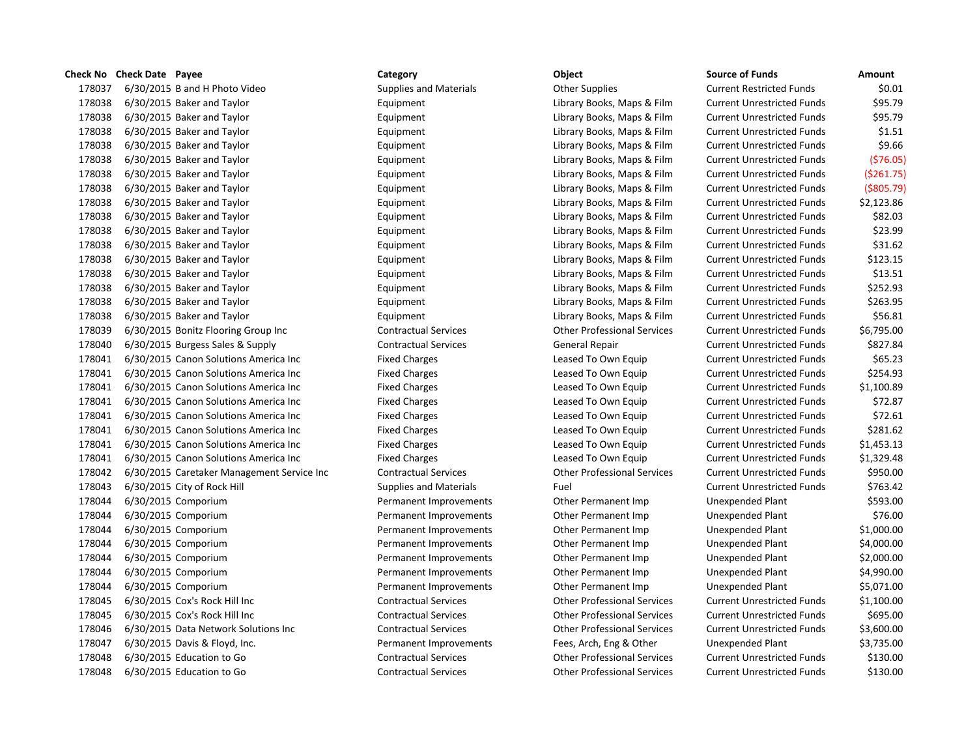**Check No Check Date Payee Category Category Category Category Category Category Category CALC** 178037 6/30/2015 B and H Photo Video Supplies and Materials Current Restricted Funds \$0.011 Current Restricted Funds \$1.000 Current Restricted Funds \$1.000 Current Restricted Funds \$1.000 Current Restricted Funds \$1.000 Cu 178038 6/30/2015 Baker and Taylor **Carry Equipment** Library Books, Maps & Film Current Current Library Books, Maps & Film 178038 6/30/2015 Baker and Taylor **Carry Equipment** Library Books, Maps & Film Current Current Library Books, Maps & Film 178038 6/30/2015 Baker and Taylor **Communisties Communist Communist Communist Communist Communist Communist Communist Communist Communist Communist Communist Communist Communist Communist Communist Communist Communist Comm** 178038 6/30/2015 Baker and Taylor **Carry Equipment** Library Books, Maps & Film Current Current Library Books, Maps & Film 178038 6/30/2015 Baker and Taylor **Carry Equipment** Library Books, Maps & Film Current Current Library Books, Maps & Film 178038 6/30/2015 Baker and Taylor **Carry Equipment** Library Books, Maps & Film Current Library Books, Maps & Film 178038 6/30/2015 Baker and Taylor **Equipment** Equipment Library Books, Maps & Film Current Current Current Current 178038 6/30/2015 Baker and Taylor **Carry Equipment** Library Books, Maps & Film Current Current Library Books, Maps & Film 178038 6/30/2015 Baker and Taylor **Carry Equipment** Library Books, Maps & Film Current Current Library Books, Maps & Film 178038 6/30/2015 Baker and Taylor **Carry Equipment** Library Books, Maps & Film Current Current Library Books, Maps & Film 178038 6/30/2015 Baker and Taylor **Carry Equipment** Library Books, Maps & Film Current Current Aurelian State Funds & Current Aurelian State Current Aurelian Current Aurelian State Funds & Film Current Aurelian State Funds 178038 6/30/2015 Baker and Taylor **Carry Equipment** Library Books, Maps & Film Current Current Library Books, Maps & Film 178038 6/30/2015 Baker and Taylor **Carry Equipment** Library Books, Maps & Film Current Current Library Books, Maps & Film 178038 6/30/2015 Baker and Taylor **Carry Equipment** Library Books, Maps & Film Current Current Library Books, Maps & Film 178038 6/30/2015 Baker and Taylor **Carry Equipment** Library Books, Maps & Film Current Current Library Books, Maps & Film 178038 6/30/2015 Baker and Taylor **Carry Equipment** Library Books, Maps & Film Current Current Aurelian State Funds & Funds & Funds & Current Aurelian State Funds & Funds & Funds & Funds & Funds & Funds & Funds \$50.81.81 178039 6/30/2015 Bonitz Flooring Group Inc Contractual Services Other Professional Services Current Unrestricted Funds & Current Unrestricted Funds \$6,795.000 Current Unrestricted Funds \$6,795.000 Current Unrestricted Fund 178040 6/30/2015 Burgess Sales & Supply Contractual Services General Repair Current Unrestricted Funds \$827.84 178041 6/30/2015 Canon Solutions America Inc Fixed Charges Leased To Own Equip Current Current Current Current Current Current Current Current Current Current Current Current Current Current Current Current Current Current 178041 6/30/2015 Canon Solutions America Inc Fixed Charges Leased To Own Equip Current Current Current Current Current Current Current Current Current Current Current Current Current Current Current Current Current Current 178041 6/30/2015 Canon Solutions America Inc Fixed Charges Leased To Own Equip Current Current Current Current Current Current Current Current Current Current Current Current Current Current Current Current Current Current 178041 6/30/2015 Canon Solutions America Inc Fixed Charges Leased To Own Equip Current Current Current Current Current Current Current Current Current Current Current Current Current Current Current Current Current Current 178041 6/30/2015 Canon Solutions America Inc Fixed Charges Charges Leased To Own Equip Current Current Current Current Current Current Current Current Current Current Current Current Current Current Current Current Current 178041 6/30/2015 Canon Solutions America Inc Fixed Charges Leased To Own Equip Current Current Current Current Current Current Current Current Current Current Current Current Current Current Current Current Current Current 178041 6/30/2015 Canon Solutions America Inc Fixed Charges Charges Leased To Own Equip Current Current Current C 178041 6/30/2015 Canon Solutions America Inc Fixed Charges Charges Leased To Own Equip Current Current Current C 178042 6/30/2015 Caretaker Management Service Inc Contractual Services Current Contractual Services Current Contractual Services Current Current Unrestricted Funds & Current Current Current Current Current Current Current 178043 6/30/2015 City of Rock Hill Supplies and Materials Fuel Fuel Current Current Current Current Current Current Current Current Current Current Current Current Current Current Current Current Current Current Current Cu 178044 6/30/2015 Comporium and Dermanent Improvements Other Permanent Imp U 178044 6/30/2015 Comporium and Permanent Improvements Other Permanent Imp U 178044 6/30/2015 Comporium **Permanent Improvements** Other Permanent Imp Unexpended Plant & L 178044 6/30/2015 Comporium **Permanent Improvements** Other Permanent Imp Unexpended Plant & L 178044 6/30/2015 Comporium example and the Permanent Improvements of Other Permanent Imp Unexpendent & L 178044 6/30/2015 Comporium and Dermanent Improvements Other Permanent Imp U 178044 6/30/2015 Comporium and Dermanent Improvements Other Permanent Imp U 178045 6/30/2015 Cox's Rock Hill Inc Contractual Services Other Professional Services Current Unrestricted Funds \$1,100.00 178045 6/30/2015 Cox's Rock Hill Inc Contractual Services Current Contractual Services Current Unrestricted Funds \$695.000 Current Unrestricted Funds \$695.000 Current Unrestricted Funds \$695.000 Current Unrestricted Funds 178046 6/30/2015 Data Network Solutions Inc Contractual Services Other Professional Services Current Unrestricted Funds \$3,600.00 178047 6/30/2015 Davis & Floyd, Inc. The Permanent Improvements Fees, Arch, Eng & Other Unexpended Plant & Li 178048 6/30/2015 Education to Go Contractual Services Other Professional Services Current Unrestricted Funds \$1 178048 6/30/2015 Education to Go Contractual Services Other Professional Services Current Unrestricted Funds \$130.00

| ource of Funds             | Amount          |
|----------------------------|-----------------|
| Current Restricted Funds   | \$0.01          |
| urrent Unrestricted Funds  | \$95.79         |
| Current Unrestricted Funds | \$95.79         |
| urrent Unrestricted Funds  | \$1.51          |
| urrent Unrestricted Funds: | \$9.66          |
| Current Unrestricted Funds | ( \$76.05       |
| urrent Unrestricted Funds  | ( \$261.75      |
| urrent Unrestricted Funds: | (\$805.79       |
| urrent Unrestricted Funds  | \$2,123.86      |
| Current Unrestricted Funds | \$82.03         |
| Current Unrestricted Funds | \$23.99         |
| Current Unrestricted Funds | \$31.62         |
| urrent Unrestricted Funds  | \$123.15        |
| urrent Unrestricted Funds  | \$13.51         |
| Current Unrestricted Funds | \$252.93        |
| urrent Unrestricted Funds: | \$263.95        |
| urrent Unrestricted Funds  | \$56.81         |
| urrent Unrestricted Funds  | \$6,795.00      |
| urrent Unrestricted Funds  | \$827.84        |
| Current Unrestricted Funds | \$65.23         |
| urrent Unrestricted Funds: | \$254.93        |
| urrent Unrestricted Funds  | \$1,100.89      |
| urrent Unrestricted Funds: | \$72.87         |
| urrent Unrestricted Funds  | \$72.61         |
| Current Unrestricted Funds | \$281.62        |
| urrent Unrestricted Funds  | \$1,453.13      |
| urrent Unrestricted Funds  | \$1,329.48      |
| Current Unrestricted Funds | \$950.00        |
| Current Unrestricted Funds | \$763.42        |
| <b>Jnexpended Plant</b>    | \$593.00        |
| <b>Inexpended Plant</b>    | \$76.00         |
| <b>Jnexpended Plant</b>    | \$1,000.00      |
| <b>Inexpended Plant</b>    | \$4,000.00      |
| <b>Inexpended Plant</b>    | \$2,000.00      |
| <b>Jnexpended Plant</b>    | \$4,990.00      |
| <b>Inexpended Plant</b>    | \$5,071.00      |
| urrent Unrestricted Funds: | \$1,100.00      |
| urrent Unrestricted Funds  | \$695.00        |
| Current Unrestricted Funds | \$3,600.00      |
| <b>Inexpended Plant</b>    | \$3,735.00      |
| urrent Unrestricted Funds  | \$130.00        |
| urrent Unrestricted Funds  | <b>\$130.00</b> |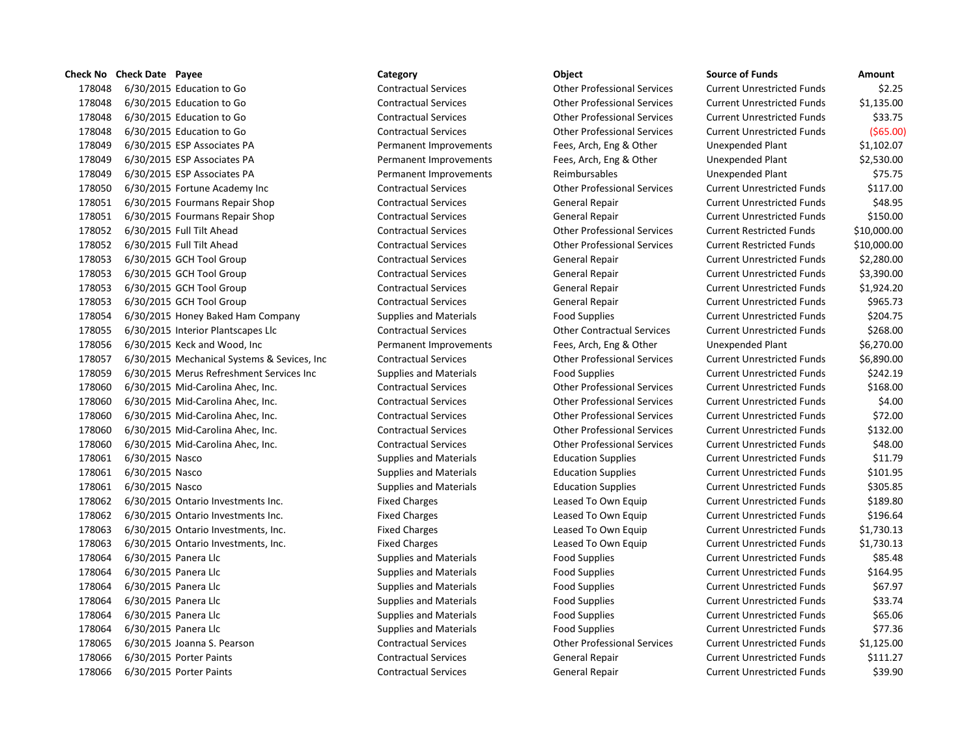6/30/2015 Education to Go Contractual Services Other Professional Services Current Unrestricted Funds \$2.25 6/30/2015 Education to Go Contractual Services Other Professional Services Current Unrestricted Funds \$1,135.00 6/30/2015 Education to Go Contractual Services Other Professional Services Current Unrestricted Funds \$33.75 6/30/2015 Education to Go Contractual Services Other Professional Services Current Unrestricted Funds (\$65.00) 6/30/2015 ESP Associates PA Permanent Improvements Fees, Arch, Eng & Other Unexpended Plant \$1,102.07 6/30/2015 ESP Associates PA Permanent Improvements Fees, Arch, Eng & Other Unexpended Plant \$2,530.00 6/30/2015 ESP Associates PA Permanent Improvements Reimbursables Unexpended Plant \$75.75 6/30/2015 Fortune Academy Inc Contractual Services Other Professional Services Current Unrestricted Funds \$117.00 6/30/2015 Fourmans Repair Shop Contractual Services General Repair Current Unrestricted Funds \$48.95 6/30/2015 Fourmans Repair Shop Contractual Services General Repair Current Unrestricted Funds \$150.00 6/30/2015 Full Tilt Ahead Contractual Services Other Professional Services Current Restricted Funds \$10,000.00 6/30/2015 Full Tilt Ahead Contractual Services Other Professional Services Current Restricted Funds \$10,000.00 6/30/2015 GCH Tool Group Contractual Services General Repair Current Unrestricted Funds \$2,280.00 6/30/2015 GCH Tool Group Contractual Services General Repair Current Unrestricted Funds \$3,390.00 6/30/2015 GCH Tool Group Contractual Services General Repair Current Unrestricted Funds \$1,924.20 6/30/2015 GCH Tool Group Contractual Services General Repair Current Unrestricted Funds \$965.73 178054 6/30/2015 Honey Baked Ham Company Supplies and Materials Food Supplies Current Unrestricted Funds \$204.75 6/30/2015 Interior Plantscapes Llc Contractual Services Other Contractual Services Current Unrestricted Funds \$268.00 6/30/2015 Keck and Wood, Inc Permanent Improvements Fees, Arch, Eng & Other Unexpended Plant \$6,270.00 6/30/2015 Mechanical Systems & Sevices, Inc Contractual Services Other Professional Services Current Unrestricted Funds \$6,890.00 6/30/2015 Merus Refreshment Services Inc Supplies and Materials Food Supplies Current Unrestricted Funds \$242.19 6/30/2015 Mid-Carolina Ahec, Inc. Contractual Services Other Professional Services Current Unrestricted Funds \$168.00 6/30/2015 Mid-Carolina Ahec, Inc. Contractual Services Other Professional Services Current Unrestricted Funds \$4.00 6/30/2015 Mid-Carolina Ahec, Inc. Contractual Services Other Professional Services Current Unrestricted Funds \$72.00 6/30/2015 Mid-Carolina Ahec, Inc. Contractual Services Other Professional Services Current Unrestricted Funds \$132.00 6/30/2015 Mid-Carolina Ahec, Inc. Contractual Services Other Professional Services Current Unrestricted Funds \$48.00 6/30/2015 Nasco Supplies and Materials Education Supplies Current Unrestricted Funds \$11.79 178061 6/30/2015 Nasco Supplies and Materials Education Supplies Current Unrestricted Funds \$101.95 178061 6/30/2015 Nasco Supplies and Materials Education Supplies Current Unrestricted Funds \$305.85 6/30/2015 Ontario Investments Inc. Fixed Charges Leased To Own Equip Current Unrestricted Funds \$189.80 6/30/2015 Ontario Investments Inc. Fixed Charges Leased To Own Equip Current Unrestricted Funds \$196.64 6/30/2015 Ontario Investments, Inc. Fixed Charges Leased To Own Equip Current Unrestricted Funds \$1,730.13 6/30/2015 Ontario Investments, Inc. Fixed Charges Leased To Own Equip Current Unrestricted Funds \$1,730.13 178064 6/30/2015 Panera Llc Supplies and Materials Food Supplies Food Supplies Current Unrestricted Funds \$85.48 178064 6/30/2015 Panera Llc Supplies and Materials Food Supplies Food Supplies Current Unrestricted Funds \$164.95 178064 6/30/2015 Panera Llc Supplies and Materials Food Supplies Food Supplies Current Unrestricted Funds 567.97 178064 6/30/2015 Panera Llc Supplies and Materials Food Supplies Food Supplies Current Unrestricted Funds \$33.74 178064 6/30/2015 Panera Llc Supplies and Materials Food Supplies Food Supplies Current Unrestricted Funds \$65.06 178064 6/30/2015 Panera Llc Supplies and Materials Food Supplies Food Supplies Current Unrestricted Funds 577.36 6/30/2015 Joanna S. Pearson Contractual Services Other Professional Services Current Unrestricted Funds \$1,125.00 178066 6/30/2015 Porter Paints **CONTROLL SERVICES** Contractual Services General Repair Current Unrestricted Funds \$111.27

178066 6/30/2015 Porter Paints **Contractual Services** General Repair Current Unrestricted Funds 539.90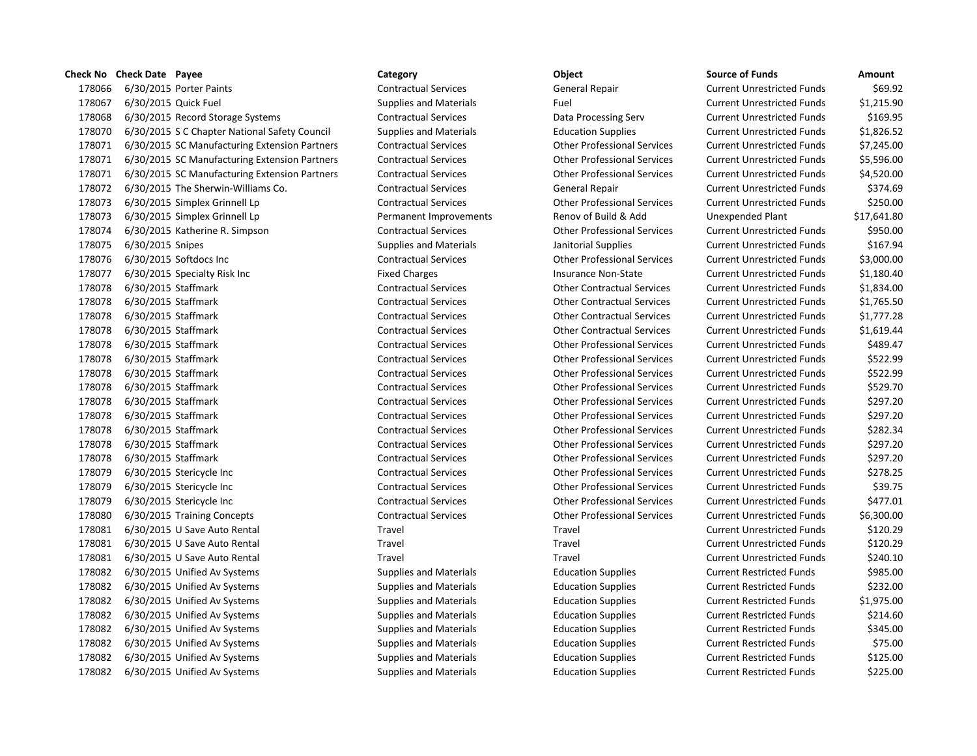# 178066 6/30/2015 Porter Paints **Contractual Services** General Repair Current Unrestricted Funds 569.92 6/30/2015 Quick Fuel Supplies and Materials Fuel Current Unrestricted Funds \$1,215.90 6/30/2015 Record Storage Systems Contractual Services Data Processing Serv Current Unrestricted Funds \$169.95 6/30/2015 S C Chapter National Safety Council Supplies and Materials Education Supplies Current Unrestricted Funds \$1,826.52 6/30/2015 SC Manufacturing Extension Partners Contractual Services Other Professional Services Current Unrestricted Funds \$7,245.00 6/30/2015 SC Manufacturing Extension Partners Contractual Services Other Professional Services Current Unrestricted Funds \$5,596.00 6/30/2015 SC Manufacturing Extension Partners Contractual Services Other Professional Services Current Unrestricted Funds \$4,520.00 178072 6/30/2015 The Sherwin-Williams Co. Contractual Services General Repair Current Unrestricted Funds \$374.69 6/30/2015 Simplex Grinnell Lp Contractual Services Other Professional Services Current Unrestricted Funds \$250.00 178073 6/30/2015 Simplex Grinnell Lp Permanent Improvements Renov of Build & Add Unexpended Plant \$17,641.80 6/30/2015 Katherine R. Simpson Contractual Services Other Professional Services Current Unrestricted Funds \$950.00 6/30/2015 Snipes Supplies and Materials Janitorial Supplies Current Unrestricted Funds \$167.94 6/30/2015 Softdocs Inc Contractual Services Other Professional Services Current Unrestricted Funds \$3,000.00 6/30/2015 Specialty Risk Inc Fixed Charges Insurance Non-State Current Unrestricted Funds \$1,180.40 6/30/2015 Staffmark Contractual Services Other Contractual Services Current Unrestricted Funds \$1,834.00 6/30/2015 Staffmark Contractual Services Other Contractual Services Current Unrestricted Funds \$1,765.50 6/30/2015 Staffmark Contractual Services Other Contractual Services Current Unrestricted Funds \$1,777.28 6/30/2015 Staffmark Contractual Services Other Contractual Services Current Unrestricted Funds \$1,619.44 6/30/2015 Staffmark Contractual Services Other Professional Services Current Unrestricted Funds \$489.47 6/30/2015 Staffmark Contractual Services Other Professional Services Current Unrestricted Funds \$522.99 6/30/2015 Staffmark Contractual Services Other Professional Services Current Unrestricted Funds \$522.99 6/30/2015 Staffmark Contractual Services Other Professional Services Current Unrestricted Funds \$529.70 6/30/2015 Staffmark Contractual Services Other Professional Services Current Unrestricted Funds \$297.20 6/30/2015 Staffmark Contractual Services Other Professional Services Current Unrestricted Funds \$297.20 6/30/2015 Staffmark Contractual Services Other Professional Services Current Unrestricted Funds \$282.34 6/30/2015 Staffmark Contractual Services Other Professional Services Current Unrestricted Funds \$297.20 6/30/2015 Staffmark Contractual Services Other Professional Services Current Unrestricted Funds \$297.20 6/30/2015 Stericycle Inc Contractual Services Other Professional Services Current Unrestricted Funds \$278.25 6/30/2015 Stericycle Inc Contractual Services Other Professional Services Current Unrestricted Funds \$39.75 6/30/2015 Stericycle Inc Contractual Services Other Professional Services Current Unrestricted Funds \$477.01 6/30/2015 Training Concepts Contractual Services Other Professional Services Current Unrestricted Funds \$6,300.00 6/30/2015 U Save Auto Rental Travel Travel Current Unrestricted Funds \$120.29 6/30/2015 U Save Auto Rental Travel Travel Current Unrestricted Funds \$120.29 6/30/2015 U Save Auto Rental Travel Travel Current Unrestricted Funds \$240.10 6/30/2015 Unified Av Systems Supplies and Materials Education Supplies Current Restricted Funds \$985.00 6/30/2015 Unified Av Systems Supplies and Materials Education Supplies Current Restricted Funds \$232.00 6/30/2015 Unified Av Systems Supplies and Materials Education Supplies Current Restricted Funds \$1,975.00 6/30/2015 Unified Av Systems Supplies and Materials Education Supplies Current Restricted Funds \$214.60 6/30/2015 Unified Av Systems Supplies and Materials Education Supplies Current Restricted Funds \$345.00 6/30/2015 Unified Av Systems Supplies and Materials Education Supplies Current Restricted Funds \$75.00 6/30/2015 Unified Av Systems Supplies and Materials Education Supplies Current Restricted Funds \$125.00

6/30/2015 Unified Av Systems Supplies and Materials Education Supplies Current Restricted Funds \$225.00

**Check No Check Date Payee Category Object Source of Funds Amount**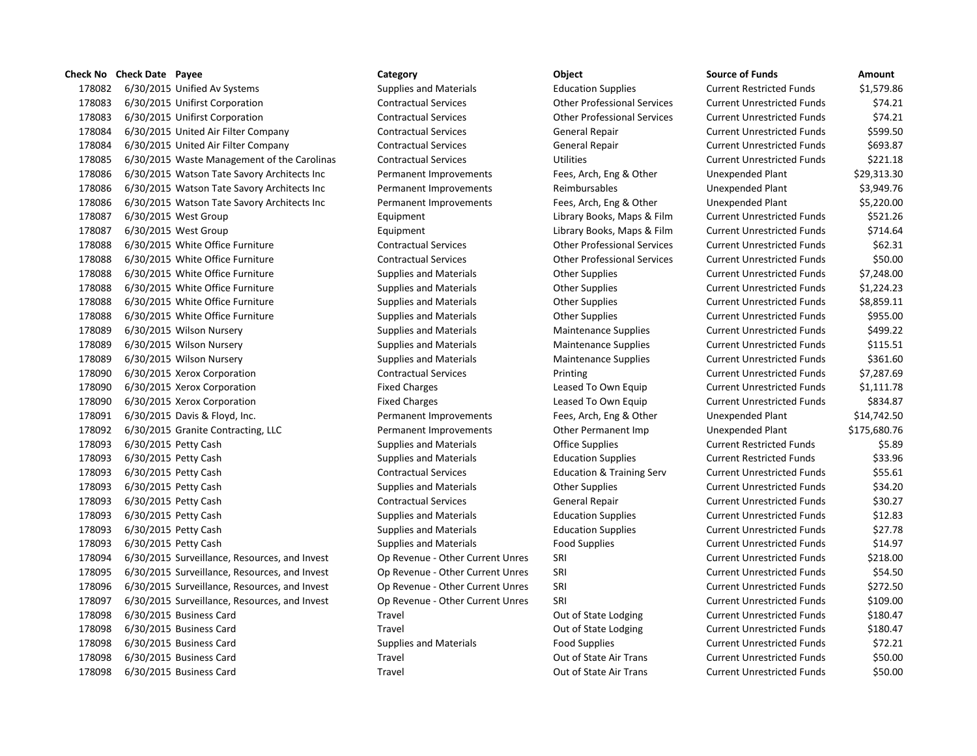## **Check No Check Date Payee Category Category Category Category Category Category Category Category C**

178082 6/30/2015 Unified Av Systems Supplies and Materials Education Supplies **6180** Current Restricted Funds \$1,5 178083 6/30/2015 Unifirst Corporation Contractual Services Current Contractual Services Current Unrestricted Funds \$74.211 178083 6/30/2015 Unifirst Corporation Contractual Services Current Contractual Services Current Unrestricted Funds \$74.2121.2121.2121.2016 178084 6/30/2015 United Air Filter Company Contractual Services General Repair Current Unrestricted Funds \$50 178084 6/30/2015 United Air Filter Company Contractual Services General Repair Current Current Current Applies 178085 6/30/2015 Waste Management of the Carolinas Contractual Services Utilities Utilities Current Current Cu 178086 6/30/2015 Watson Tate Savory Architects Inc Permanent Improvements Fees, Arch, Eng & Other Unexpended P 178086 6/30/2015 Watson Tate Savory Architects Inc Permanent Improvements Reimbursables Reimbursables 178086 6/30/2015 Watson Tate Savory Architects Inc Permanent Improvements Fees, Arch, Eng & Other Unexpended P 178087 6/30/2015 West Group **Equipment** Equipment Library Books, Maps & Film Current Current According to Equipment 178087 6/30/2015 West Group The Library Books, Maps & Film Current Library Books, Maps & Film Current Current Cu 178088 6/30/2015 White Office Furniture Contractual Services Current Contractual Services Current Unrestricted Funds \$62.31 178088 6/30/2015 White Office Furniture Contractual Services Current Contractual Services Current Unrestricted Funds \$50.000 Current Professional Services Current Austrictes Current Austrictes Current Unrestricted Funds \$5 178088 6/30/2015 White Office Furniture Supplies and Materials Current Other Supplies Current Current Current Current Current Current Current Other Supplies And Materials Current Other Supplies and Materials Current Other 178088 6/30/2015 White Office Furniture Supplies and Materials Other Supplies 6010 Current Current Current Current Current Current Current Current Current Current Current Current Current Current Current Current Current Cur 178088 6/30/2015 White Office Furniture Supplies and Materials Other Supplies 60100 Current Current Current Cu 178088 6/30/2015 White Office Furniture Supplies and Materials Current Other Supplies 60100 Current Current Cu 178089 6/30/2015 Wilson Nursery Supplies and Materials Maintenance Supplies Maintenance Supplies Cu 178089 6/30/2015 Wilson Nursery Supplies and Materials Materials Maintenance Supplies Current Current Current Cu 178089 6/30/2015 Wilson Nursery Supplies and Materials Materials Maintenance Supplies Current Current Current Cu 178090 6/30/2015 Xerox Corporation Contractual Services Printing Printing Current Current Unrestricted Funds & 178090 6/30/2015 Xerox Corporation Fixed Charges Fixed Charges Leased To Own Equip Current Current Cu 178090 6/30/2015 Xerox Corporation **Fixed Charges** Fixed Charges Leased To Own Equip Cu 178091 6/30/2015 Davis & Floyd, Inc. The Permanent Improvements Fees, Arch, Eng & Other Unexpended Plant & 14, 178092 6/30/2015 Granite Contracting, LLC Permanent Improvements Other Permanent Imp Unexpendent S176,680.76 178093 6/30/2015 Petty Cash Supplies and Materials Coffice Supplies Current Restricted Funds \$5.89 178093 6/30/2015 Petty Cash Supplies and Materials Education Supplies **Education Supplies** Cu 178093 6/30/2015 Petty Cash Contractual Services Education & Training Serv Current Current Unrestricted Funds \$5 178093 6/30/2015 Petty Cash Supplies and Materials Current Current Current Current Current Current Current Current Current Current Current Current Current Current Current Current Current Current Current Current Current Cur 178093 6/30/2015 Petty Cash Contractual Services General Repair Current Unrestricted Funds \$30.27 and \$30.277 178093 6/30/2015 Petty Cash Supplies and Materials Education Supplies Current Unrestricted Funds \$12.83 178093 6/30/2015 Petty Cash Supplies and Materials Education Supplies **Education Supplies** Current Current Current 178093 6/30/2015 Petty Cash Supplies and Materials Food Supplies Food Supplies Current Current Current Current Cu 178094 6/30/2015 Surveillance, Resources, and Invest Op Revenue - Other Current Unres SRI Current Unres SRI 178095 6/30/2015 Surveillance, Resources, and Invest Op Revenue - Other Current Unres SRI 178096 6/30/2015 Surveillance, Resources, and Invest Op Revenue - Other Current Unres SRI 178097 6/30/2015 Surveillance, Resources, and Invest Op Revenue - Other Current Unres SRI Current Unres SRI 178098 6/30/2015 Business Card **Current Current Current Current Current Current Current Current Current Current Current Current Current Current Current Current Current Current Current Current Current Current Current Curren** 178098 6/30/2015 Business Card Current Current Current Current Current Current Current Unrestricted Funds \$180.47 178098 6/30/2015 Business Card Supplies and Materials Food Supplies Food Supplies Food Supplies Current Cu 178098 6/30/2015 Business Card Travel Travel Current Current Out of State Air Trans Current Unrestricted Funds 178098 6/30/2015 Business Card Travel Travel Current Current Current Current Current Current Unrestricted Funds \$50.0000 Current Punchs \$50.000 Current Punchs \$50.000 Current Punchs \$50.000 Current Punchs \$50.000 Current P

| ource of Funds            | Amount       |
|---------------------------|--------------|
| urrent Restricted Funds   | \$1,579.86   |
| urrent Unrestricted Funds | \$74.21      |
| urrent Unrestricted Funds | \$74.21      |
| urrent Unrestricted Funds | \$599.50     |
| urrent Unrestricted Funds | \$693.87     |
| urrent Unrestricted Funds | \$221.18     |
| nexpended Plant           | \$29,313.30  |
| nexpended Plant           | \$3,949.76   |
| nexpended Plant           | \$5,220.00   |
| urrent Unrestricted Funds | \$521.26     |
| urrent Unrestricted Funds | \$714.64     |
| urrent Unrestricted Funds | \$62.31      |
| urrent Unrestricted Funds | \$50.00      |
| urrent Unrestricted Funds | \$7,248.00   |
| urrent Unrestricted Funds | \$1,224.23   |
| urrent Unrestricted Funds | \$8,859.11   |
| urrent Unrestricted Funds | \$955.00     |
| urrent Unrestricted Funds | \$499.22     |
| urrent Unrestricted Funds | \$115.51     |
| urrent Unrestricted Funds | \$361.60     |
| urrent Unrestricted Funds | \$7,287.69   |
| urrent Unrestricted Funds | \$1,111.78   |
| urrent Unrestricted Funds | \$834.87     |
| nexpended Plant           | \$14,742.50  |
| nexpended Plant           | \$175,680.76 |
| urrent Restricted Funds   | \$5.89       |
| urrent Restricted Funds   | \$33.96      |
| urrent Unrestricted Funds | \$55.61      |
| urrent Unrestricted Funds | \$34.20      |
| urrent Unrestricted Funds | \$30.27      |
| urrent Unrestricted Funds | \$12.83      |
| urrent Unrestricted Funds | \$27.78      |
| urrent Unrestricted Funds | \$14.97      |
| urrent Unrestricted Funds | \$218.00     |
| urrent Unrestricted Funds | \$54.50      |
| urrent Unrestricted Funds | \$272.50     |
| urrent Unrestricted Funds | \$109.00     |
| urrent Unrestricted Funds | \$180.47     |
| urrent Unrestricted Funds | \$180.47     |
| urrent Unrestricted Funds | \$72.21      |
| urrent Unrestricted Funds | \$50.00      |
| urrent Unrestricted Funds | \$50.00      |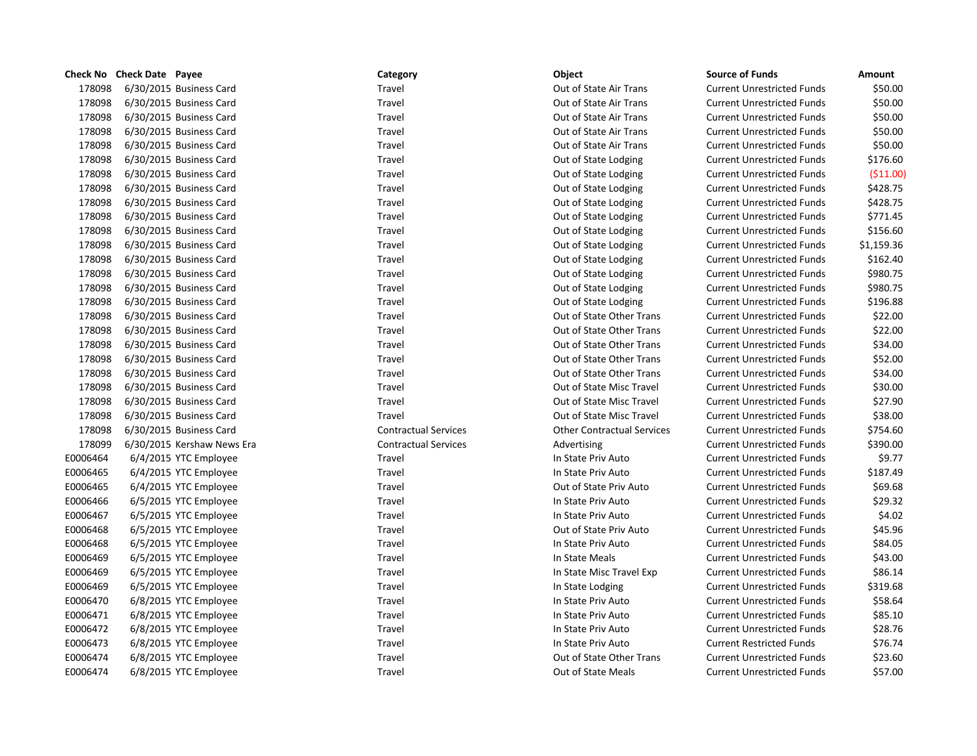|          | Check No Check Date Payee  | Category                    | Object                            | <b>Source of Funds</b>            | Amount     |
|----------|----------------------------|-----------------------------|-----------------------------------|-----------------------------------|------------|
| 178098   | 6/30/2015 Business Card    | Travel                      | Out of State Air Trans            | <b>Current Unrestricted Funds</b> | \$50.00    |
| 178098   | 6/30/2015 Business Card    | Travel                      | Out of State Air Trans            | <b>Current Unrestricted Funds</b> | \$50.00    |
| 178098   | 6/30/2015 Business Card    | Travel                      | Out of State Air Trans            | <b>Current Unrestricted Funds</b> | \$50.00    |
| 178098   | 6/30/2015 Business Card    | Travel                      | Out of State Air Trans            | <b>Current Unrestricted Funds</b> | \$50.00    |
| 178098   | 6/30/2015 Business Card    | Travel                      | Out of State Air Trans            | <b>Current Unrestricted Funds</b> | \$50.00    |
| 178098   | 6/30/2015 Business Card    | Travel                      | Out of State Lodging              | <b>Current Unrestricted Funds</b> | \$176.60   |
| 178098   | 6/30/2015 Business Card    | Travel                      | Out of State Lodging              | <b>Current Unrestricted Funds</b> | ( \$11.00) |
| 178098   | 6/30/2015 Business Card    | Travel                      | Out of State Lodging              | <b>Current Unrestricted Funds</b> | \$428.75   |
| 178098   | 6/30/2015 Business Card    | Travel                      | Out of State Lodging              | <b>Current Unrestricted Funds</b> | \$428.75   |
| 178098   | 6/30/2015 Business Card    | Travel                      | Out of State Lodging              | <b>Current Unrestricted Funds</b> | \$771.45   |
| 178098   | 6/30/2015 Business Card    | Travel                      | Out of State Lodging              | <b>Current Unrestricted Funds</b> | \$156.60   |
| 178098   | 6/30/2015 Business Card    | Travel                      | Out of State Lodging              | <b>Current Unrestricted Funds</b> | \$1,159.36 |
| 178098   | 6/30/2015 Business Card    | Travel                      | Out of State Lodging              | <b>Current Unrestricted Funds</b> | \$162.40   |
| 178098   | 6/30/2015 Business Card    | Travel                      | Out of State Lodging              | <b>Current Unrestricted Funds</b> | \$980.75   |
| 178098   | 6/30/2015 Business Card    | Travel                      | Out of State Lodging              | <b>Current Unrestricted Funds</b> | \$980.75   |
| 178098   | 6/30/2015 Business Card    | Travel                      | Out of State Lodging              | <b>Current Unrestricted Funds</b> | \$196.88   |
| 178098   | 6/30/2015 Business Card    | Travel                      | Out of State Other Trans          | <b>Current Unrestricted Funds</b> | \$22.00    |
| 178098   | 6/30/2015 Business Card    | Travel                      | Out of State Other Trans          | <b>Current Unrestricted Funds</b> | \$22.00    |
| 178098   | 6/30/2015 Business Card    | Travel                      | Out of State Other Trans          | <b>Current Unrestricted Funds</b> | \$34.00    |
| 178098   | 6/30/2015 Business Card    | Travel                      | Out of State Other Trans          | <b>Current Unrestricted Funds</b> | \$52.00    |
| 178098   | 6/30/2015 Business Card    | Travel                      | Out of State Other Trans          | <b>Current Unrestricted Funds</b> | \$34.00    |
| 178098   | 6/30/2015 Business Card    | Travel                      | Out of State Misc Travel          | <b>Current Unrestricted Funds</b> | \$30.00    |
| 178098   | 6/30/2015 Business Card    | Travel                      | Out of State Misc Travel          | <b>Current Unrestricted Funds</b> | \$27.90    |
| 178098   | 6/30/2015 Business Card    | Travel                      | Out of State Misc Travel          | <b>Current Unrestricted Funds</b> | \$38.00    |
| 178098   | 6/30/2015 Business Card    | <b>Contractual Services</b> | <b>Other Contractual Services</b> | <b>Current Unrestricted Funds</b> | \$754.60   |
| 178099   | 6/30/2015 Kershaw News Era | <b>Contractual Services</b> | Advertising                       | <b>Current Unrestricted Funds</b> | \$390.00   |
| E0006464 | 6/4/2015 YTC Employee      | Travel                      | In State Priv Auto                | <b>Current Unrestricted Funds</b> | \$9.77     |
| E0006465 | 6/4/2015 YTC Employee      | Travel                      | In State Priv Auto                | <b>Current Unrestricted Funds</b> | \$187.49   |
| E0006465 | 6/4/2015 YTC Employee      | Travel                      | Out of State Priv Auto            | <b>Current Unrestricted Funds</b> | \$69.68    |
| E0006466 | 6/5/2015 YTC Employee      | Travel                      | In State Priv Auto                | <b>Current Unrestricted Funds</b> | \$29.32    |
| E0006467 | 6/5/2015 YTC Employee      | Travel                      | In State Priv Auto                | <b>Current Unrestricted Funds</b> | \$4.02     |
| E0006468 | 6/5/2015 YTC Employee      | Travel                      | Out of State Priv Auto            | <b>Current Unrestricted Funds</b> | \$45.96    |
| E0006468 | 6/5/2015 YTC Employee      | Travel                      | In State Priv Auto                | <b>Current Unrestricted Funds</b> | \$84.05    |
| E0006469 | 6/5/2015 YTC Employee      | Travel                      | In State Meals                    | <b>Current Unrestricted Funds</b> | \$43.00    |
| E0006469 | 6/5/2015 YTC Employee      | Travel                      | In State Misc Travel Exp          | <b>Current Unrestricted Funds</b> | \$86.14    |
| E0006469 | 6/5/2015 YTC Employee      | Travel                      | In State Lodging                  | <b>Current Unrestricted Funds</b> | \$319.68   |
| E0006470 | 6/8/2015 YTC Employee      | Travel                      | In State Priv Auto                | <b>Current Unrestricted Funds</b> | \$58.64    |
| E0006471 | 6/8/2015 YTC Employee      | Travel                      | In State Priv Auto                | <b>Current Unrestricted Funds</b> | \$85.10    |
| E0006472 | 6/8/2015 YTC Employee      | Travel                      | In State Priv Auto                | <b>Current Unrestricted Funds</b> | \$28.76    |
| E0006473 | 6/8/2015 YTC Employee      | Travel                      | In State Priv Auto                | <b>Current Restricted Funds</b>   | \$76.74    |
| E0006474 | 6/8/2015 YTC Employee      | Travel                      | Out of State Other Trans          | <b>Current Unrestricted Funds</b> | \$23.60    |
| E0006474 | 6/8/2015 YTC Employee      | Travel                      | <b>Out of State Meals</b>         | <b>Current Unrestricted Funds</b> | \$57.00    |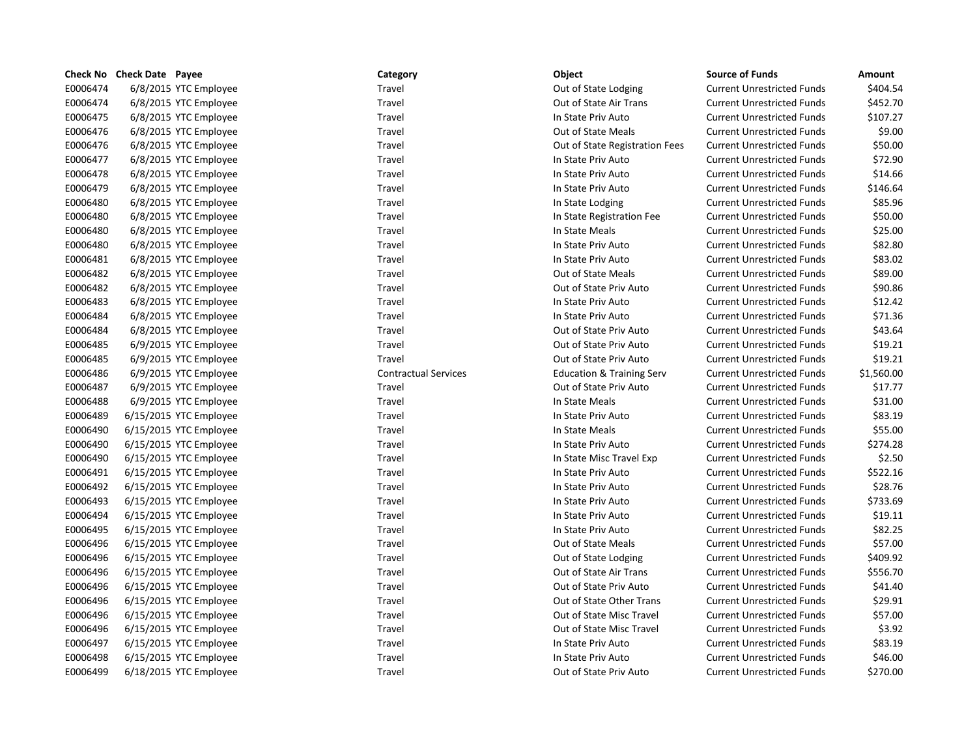|          | Check No Check Date Payee | Category                    | Object                               | <b>Source of Funds</b>            | Amount     |
|----------|---------------------------|-----------------------------|--------------------------------------|-----------------------------------|------------|
| E0006474 | 6/8/2015 YTC Employee     | Travel                      | Out of State Lodging                 | <b>Current Unrestricted Funds</b> | \$404.54   |
| E0006474 | 6/8/2015 YTC Employee     | Travel                      | Out of State Air Trans               | <b>Current Unrestricted Funds</b> | \$452.70   |
| E0006475 | 6/8/2015 YTC Employee     | Travel                      | In State Priv Auto                   | <b>Current Unrestricted Funds</b> | \$107.27   |
| E0006476 | 6/8/2015 YTC Employee     | Travel                      | Out of State Meals                   | <b>Current Unrestricted Funds</b> | \$9.00     |
| E0006476 | 6/8/2015 YTC Employee     | Travel                      | Out of State Registration Fees       | <b>Current Unrestricted Funds</b> | \$50.00    |
| E0006477 | 6/8/2015 YTC Employee     | Travel                      | In State Priv Auto                   | <b>Current Unrestricted Funds</b> | \$72.90    |
| E0006478 | 6/8/2015 YTC Employee     | Travel                      | In State Priv Auto                   | <b>Current Unrestricted Funds</b> | \$14.66    |
| E0006479 | 6/8/2015 YTC Employee     | Travel                      | In State Priv Auto                   | <b>Current Unrestricted Funds</b> | \$146.64   |
| E0006480 | 6/8/2015 YTC Employee     | Travel                      | In State Lodging                     | <b>Current Unrestricted Funds</b> | \$85.96    |
| E0006480 | 6/8/2015 YTC Employee     | Travel                      | In State Registration Fee            | <b>Current Unrestricted Funds</b> | \$50.00    |
| E0006480 | 6/8/2015 YTC Employee     | Travel                      | In State Meals                       | <b>Current Unrestricted Funds</b> | \$25.00    |
| E0006480 | 6/8/2015 YTC Employee     | Travel                      | In State Priv Auto                   | <b>Current Unrestricted Funds</b> | \$82.80    |
| E0006481 | 6/8/2015 YTC Employee     | Travel                      | In State Priv Auto                   | <b>Current Unrestricted Funds</b> | \$83.02    |
| E0006482 | 6/8/2015 YTC Employee     | Travel                      | Out of State Meals                   | <b>Current Unrestricted Funds</b> | \$89.00    |
| E0006482 | 6/8/2015 YTC Employee     | Travel                      | Out of State Priv Auto               | <b>Current Unrestricted Funds</b> | \$90.86    |
| E0006483 | 6/8/2015 YTC Employee     | Travel                      | In State Priv Auto                   | <b>Current Unrestricted Funds</b> | \$12.42    |
| E0006484 | 6/8/2015 YTC Employee     | Travel                      | In State Priv Auto                   | <b>Current Unrestricted Funds</b> | \$71.36    |
| E0006484 | 6/8/2015 YTC Employee     | Travel                      | Out of State Priv Auto               | <b>Current Unrestricted Funds</b> | \$43.64    |
| E0006485 | 6/9/2015 YTC Employee     | Travel                      | Out of State Priv Auto               | <b>Current Unrestricted Funds</b> | \$19.21    |
| E0006485 | 6/9/2015 YTC Employee     | Travel                      | Out of State Priv Auto               | <b>Current Unrestricted Funds</b> | \$19.21    |
| E0006486 | 6/9/2015 YTC Employee     | <b>Contractual Services</b> | <b>Education &amp; Training Serv</b> | <b>Current Unrestricted Funds</b> | \$1,560.00 |
| E0006487 | 6/9/2015 YTC Employee     | Travel                      | Out of State Priv Auto               | <b>Current Unrestricted Funds</b> | \$17.77    |
| E0006488 | 6/9/2015 YTC Employee     | Travel                      | In State Meals                       | <b>Current Unrestricted Funds</b> | \$31.00    |
| E0006489 | 6/15/2015 YTC Employee    | Travel                      | In State Priv Auto                   | <b>Current Unrestricted Funds</b> | \$83.19    |
| E0006490 | 6/15/2015 YTC Employee    | Travel                      | In State Meals                       | <b>Current Unrestricted Funds</b> | \$55.00    |
| E0006490 | 6/15/2015 YTC Employee    | Travel                      | In State Priv Auto                   | <b>Current Unrestricted Funds</b> | \$274.28   |
| E0006490 | 6/15/2015 YTC Employee    | Travel                      | In State Misc Travel Exp             | <b>Current Unrestricted Funds</b> | \$2.50     |
| E0006491 | 6/15/2015 YTC Employee    | Travel                      | In State Priv Auto                   | <b>Current Unrestricted Funds</b> | \$522.16   |
| E0006492 | 6/15/2015 YTC Employee    | Travel                      | In State Priv Auto                   | <b>Current Unrestricted Funds</b> | \$28.76    |
| E0006493 | 6/15/2015 YTC Employee    | Travel                      | In State Priv Auto                   | <b>Current Unrestricted Funds</b> | \$733.69   |
| E0006494 | 6/15/2015 YTC Employee    | Travel                      | In State Priv Auto                   | <b>Current Unrestricted Funds</b> | \$19.11    |
| E0006495 | 6/15/2015 YTC Employee    | Travel                      | In State Priv Auto                   | <b>Current Unrestricted Funds</b> | \$82.25    |
| E0006496 | 6/15/2015 YTC Employee    | Travel                      | Out of State Meals                   | <b>Current Unrestricted Funds</b> | \$57.00    |
| E0006496 | 6/15/2015 YTC Employee    | Travel                      | Out of State Lodging                 | <b>Current Unrestricted Funds</b> | \$409.92   |
| E0006496 | 6/15/2015 YTC Employee    | Travel                      | Out of State Air Trans               | <b>Current Unrestricted Funds</b> | \$556.70   |
| E0006496 | 6/15/2015 YTC Employee    | Travel                      | Out of State Priv Auto               | <b>Current Unrestricted Funds</b> | \$41.40    |
| E0006496 | 6/15/2015 YTC Employee    | Travel                      | Out of State Other Trans             | <b>Current Unrestricted Funds</b> | \$29.91    |
| E0006496 | 6/15/2015 YTC Employee    | Travel                      | Out of State Misc Travel             | <b>Current Unrestricted Funds</b> | \$57.00    |
| E0006496 | 6/15/2015 YTC Employee    | Travel                      | Out of State Misc Travel             | <b>Current Unrestricted Funds</b> | \$3.92     |
| E0006497 | 6/15/2015 YTC Employee    | Travel                      | In State Priv Auto                   | <b>Current Unrestricted Funds</b> | \$83.19    |
| E0006498 | 6/15/2015 YTC Employee    | Travel                      | In State Priv Auto                   | <b>Current Unrestricted Funds</b> | \$46.00    |
| E0006499 | 6/18/2015 YTC Employee    | Travel                      | Out of State Priv Auto               | <b>Current Unrestricted Funds</b> | \$270.00   |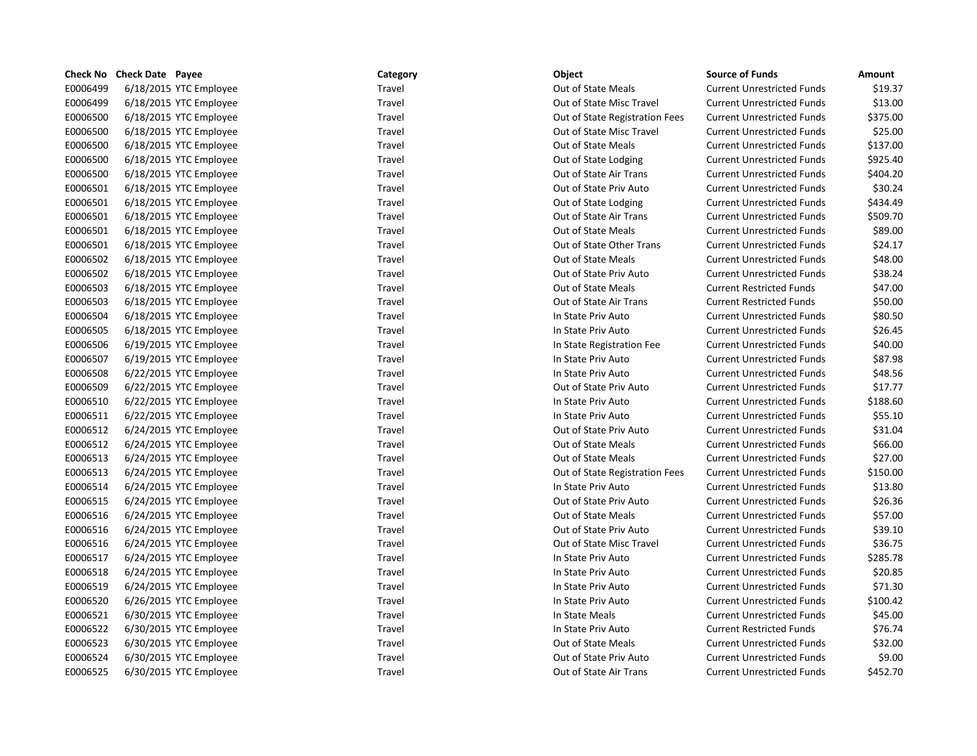|          | Check No Check Date Payee | Category | Object                         | <b>Source of Funds</b>            | <b>Amount</b> |
|----------|---------------------------|----------|--------------------------------|-----------------------------------|---------------|
| E0006499 | 6/18/2015 YTC Employee    | Travel   | Out of State Meals             | <b>Current Unrestricted Funds</b> | \$19.37       |
| E0006499 | 6/18/2015 YTC Employee    | Travel   | Out of State Misc Travel       | <b>Current Unrestricted Funds</b> | \$13.00       |
| E0006500 | 6/18/2015 YTC Employee    | Travel   | Out of State Registration Fees | <b>Current Unrestricted Funds</b> | \$375.00      |
| E0006500 | 6/18/2015 YTC Employee    | Travel   | Out of State Misc Travel       | <b>Current Unrestricted Funds</b> | \$25.00       |
| E0006500 | 6/18/2015 YTC Employee    | Travel   | Out of State Meals             | <b>Current Unrestricted Funds</b> | \$137.00      |
| E0006500 | 6/18/2015 YTC Employee    | Travel   | Out of State Lodging           | <b>Current Unrestricted Funds</b> | \$925.40      |
| E0006500 | 6/18/2015 YTC Employee    | Travel   | Out of State Air Trans         | <b>Current Unrestricted Funds</b> | \$404.20      |
| E0006501 | 6/18/2015 YTC Employee    | Travel   | Out of State Priv Auto         | <b>Current Unrestricted Funds</b> | \$30.24       |
| E0006501 | 6/18/2015 YTC Employee    | Travel   | Out of State Lodging           | <b>Current Unrestricted Funds</b> | \$434.49      |
| E0006501 | 6/18/2015 YTC Employee    | Travel   | Out of State Air Trans         | <b>Current Unrestricted Funds</b> | \$509.70      |
| E0006501 | 6/18/2015 YTC Employee    | Travel   | Out of State Meals             | <b>Current Unrestricted Funds</b> | \$89.00       |
| E0006501 | 6/18/2015 YTC Employee    | Travel   | Out of State Other Trans       | <b>Current Unrestricted Funds</b> | \$24.17       |
| E0006502 | 6/18/2015 YTC Employee    | Travel   | Out of State Meals             | <b>Current Unrestricted Funds</b> | \$48.00       |
| E0006502 | 6/18/2015 YTC Employee    | Travel   | Out of State Priv Auto         | <b>Current Unrestricted Funds</b> | \$38.24       |
| E0006503 | 6/18/2015 YTC Employee    | Travel   | Out of State Meals             | <b>Current Restricted Funds</b>   | \$47.00       |
| E0006503 | 6/18/2015 YTC Employee    | Travel   | Out of State Air Trans         | <b>Current Restricted Funds</b>   | \$50.00       |
| E0006504 | 6/18/2015 YTC Employee    | Travel   | In State Priv Auto             | <b>Current Unrestricted Funds</b> | \$80.50       |
| E0006505 | 6/18/2015 YTC Employee    | Travel   | In State Priv Auto             | <b>Current Unrestricted Funds</b> | \$26.45       |
| E0006506 | 6/19/2015 YTC Employee    | Travel   | In State Registration Fee      | <b>Current Unrestricted Funds</b> | \$40.00       |
| E0006507 | 6/19/2015 YTC Employee    | Travel   | In State Priv Auto             | <b>Current Unrestricted Funds</b> | \$87.98       |
| E0006508 | 6/22/2015 YTC Employee    | Travel   | In State Priv Auto             | <b>Current Unrestricted Funds</b> | \$48.56       |
| E0006509 | 6/22/2015 YTC Employee    | Travel   | Out of State Priv Auto         | <b>Current Unrestricted Funds</b> | \$17.77       |
| E0006510 | 6/22/2015 YTC Employee    | Travel   | In State Priv Auto             | <b>Current Unrestricted Funds</b> | \$188.60      |
| E0006511 | 6/22/2015 YTC Employee    | Travel   | In State Priv Auto             | <b>Current Unrestricted Funds</b> | \$55.10       |
| E0006512 | 6/24/2015 YTC Employee    | Travel   | Out of State Priv Auto         | <b>Current Unrestricted Funds</b> | \$31.04       |
| E0006512 | 6/24/2015 YTC Employee    | Travel   | Out of State Meals             | <b>Current Unrestricted Funds</b> | \$66.00       |
| E0006513 | 6/24/2015 YTC Employee    | Travel   | Out of State Meals             | <b>Current Unrestricted Funds</b> | \$27.00       |
| E0006513 | 6/24/2015 YTC Employee    | Travel   | Out of State Registration Fees | <b>Current Unrestricted Funds</b> | \$150.00      |
| E0006514 | 6/24/2015 YTC Employee    | Travel   | In State Priv Auto             | <b>Current Unrestricted Funds</b> | \$13.80       |
| E0006515 | 6/24/2015 YTC Employee    | Travel   | Out of State Priv Auto         | <b>Current Unrestricted Funds</b> | \$26.36       |
| E0006516 | 6/24/2015 YTC Employee    | Travel   | Out of State Meals             | <b>Current Unrestricted Funds</b> | \$57.00       |
| E0006516 | 6/24/2015 YTC Employee    | Travel   | Out of State Priv Auto         | <b>Current Unrestricted Funds</b> | \$39.10       |
| E0006516 | 6/24/2015 YTC Employee    | Travel   | Out of State Misc Travel       | <b>Current Unrestricted Funds</b> | \$36.75       |
| E0006517 | 6/24/2015 YTC Employee    | Travel   | In State Priv Auto             | <b>Current Unrestricted Funds</b> | \$285.78      |
| E0006518 | 6/24/2015 YTC Employee    | Travel   | In State Priv Auto             | <b>Current Unrestricted Funds</b> | \$20.85       |
| E0006519 | 6/24/2015 YTC Employee    | Travel   | In State Priv Auto             | <b>Current Unrestricted Funds</b> | \$71.30       |
| E0006520 | 6/26/2015 YTC Employee    | Travel   | In State Priv Auto             | <b>Current Unrestricted Funds</b> | \$100.42      |
| E0006521 | 6/30/2015 YTC Employee    | Travel   | In State Meals                 | <b>Current Unrestricted Funds</b> | \$45.00       |
| E0006522 | 6/30/2015 YTC Employee    | Travel   | In State Priv Auto             | <b>Current Restricted Funds</b>   | \$76.74       |
| E0006523 | 6/30/2015 YTC Employee    | Travel   | Out of State Meals             | <b>Current Unrestricted Funds</b> | \$32.00       |
| E0006524 | 6/30/2015 YTC Employee    | Travel   | Out of State Priv Auto         | <b>Current Unrestricted Funds</b> | \$9.00        |
| E0006525 | 6/30/2015 YTC Employee    | Travel   | Out of State Air Trans         | <b>Current Unrestricted Funds</b> | \$452.70      |